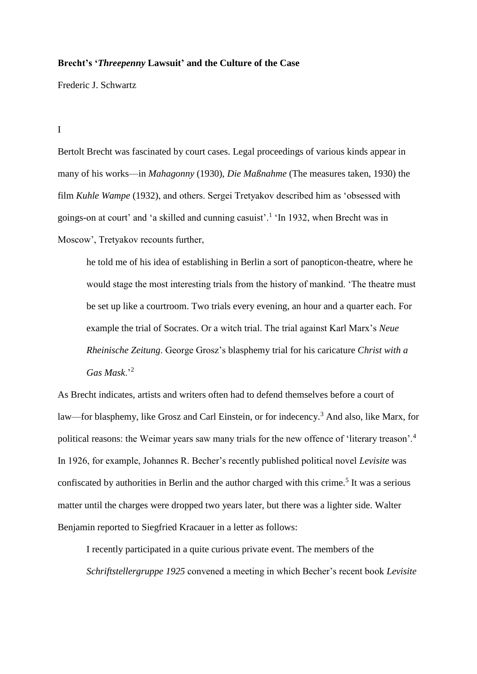#### **Brecht's '***Threepenny* **Lawsuit' and the Culture of the Case**

Frederic J. Schwartz

I

Bertolt Brecht was fascinated by court cases. Legal proceedings of various kinds appear in many of his works—in *Mahagonny* (1930), *Die Maßnahme* (The measures taken, 1930) the film *Kuhle Wampe* (1932), and others. Sergei Tretyakov described him as 'obsessed with goings-on at court' and 'a skilled and cunning casuist'.<sup>1</sup> 'In 1932, when Brecht was in Moscow', Tretyakov recounts further,

he told me of his idea of establishing in Berlin a sort of panopticon-theatre, where he would stage the most interesting trials from the history of mankind. 'The theatre must be set up like a courtroom. Two trials every evening, an hour and a quarter each. For example the trial of Socrates. Or a witch trial. The trial against Karl Marx's *Neue Rheinische Zeitung*. George Grosz's blasphemy trial for his caricature *Christ with a Gas Mask*.'<sup>2</sup>

As Brecht indicates, artists and writers often had to defend themselves before a court of law—for blasphemy, like Grosz and Carl Einstein, or for indecency.<sup>3</sup> And also, like Marx, for political reasons: the Weimar years saw many trials for the new offence of 'literary treason'.<sup>4</sup> In 1926, for example, Johannes R. Becher's recently published political novel *Levisite* was confiscated by authorities in Berlin and the author charged with this crime.<sup>5</sup> It was a serious matter until the charges were dropped two years later, but there was a lighter side. Walter Benjamin reported to Siegfried Kracauer in a letter as follows:

I recently participated in a quite curious private event. The members of the *Schriftstellergruppe 1925* convened a meeting in which Becher's recent book *Levisite*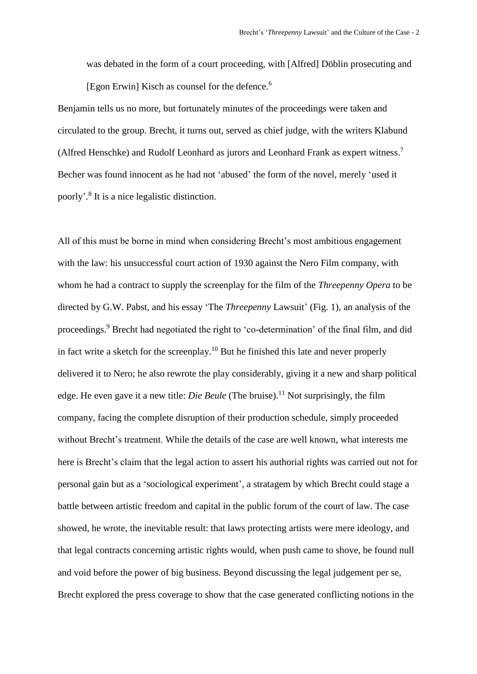was debated in the form of a court proceeding, with [Alfred] Döblin prosecuting and [Egon Erwin] Kisch as counsel for the defence.<sup>6</sup>

Benjamin tells us no more, but fortunately minutes of the proceedings were taken and circulated to the group. Brecht, it turns out, served as chief judge, with the writers Klabund (Alfred Henschke) and Rudolf Leonhard as jurors and Leonhard Frank as expert witness.<sup>7</sup> Becher was found innocent as he had not 'abused' the form of the novel, merely 'used it poorly'. 8 It is a nice legalistic distinction.

All of this must be borne in mind when considering Brecht's most ambitious engagement with the law: his unsuccessful court action of 1930 against the Nero Film company, with whom he had a contract to supply the screenplay for the film of the *Threepenny Opera* to be directed by G.W. Pabst, and his essay 'The *Threepenny* Lawsuit' (Fig. 1), an analysis of the proceedings. <sup>9</sup> Brecht had negotiated the right to 'co-determination' of the final film, and did in fact write a sketch for the screenplay. <sup>10</sup> But he finished this late and never properly delivered it to Nero; he also rewrote the play considerably, giving it a new and sharp political edge. He even gave it a new title: *Die Beule* (The bruise). <sup>11</sup> Not surprisingly, the film company, facing the complete disruption of their production schedule, simply proceeded without Brecht's treatment. While the details of the case are well known, what interests me here is Brecht's claim that the legal action to assert his authorial rights was carried out not for personal gain but as a 'sociological experiment', a stratagem by which Brecht could stage a battle between artistic freedom and capital in the public forum of the court of law. The case showed, he wrote, the inevitable result: that laws protecting artists were mere ideology, and that legal contracts concerning artistic rights would, when push came to shove, be found null and void before the power of big business. Beyond discussing the legal judgement per se, Brecht explored the press coverage to show that the case generated conflicting notions in the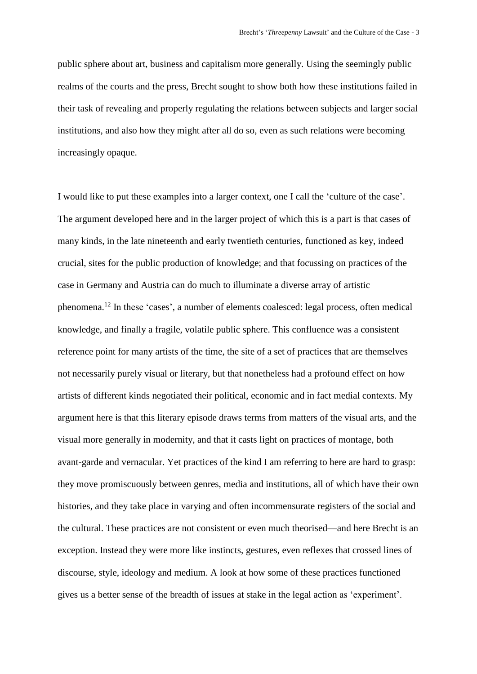public sphere about art, business and capitalism more generally. Using the seemingly public realms of the courts and the press, Brecht sought to show both how these institutions failed in their task of revealing and properly regulating the relations between subjects and larger social institutions, and also how they might after all do so, even as such relations were becoming increasingly opaque.

I would like to put these examples into a larger context, one I call the 'culture of the case'. The argument developed here and in the larger project of which this is a part is that cases of many kinds, in the late nineteenth and early twentieth centuries, functioned as key, indeed crucial, sites for the public production of knowledge; and that focussing on practices of the case in Germany and Austria can do much to illuminate a diverse array of artistic phenomena. <sup>12</sup> In these 'cases', a number of elements coalesced: legal process, often medical knowledge, and finally a fragile, volatile public sphere. This confluence was a consistent reference point for many artists of the time, the site of a set of practices that are themselves not necessarily purely visual or literary, but that nonetheless had a profound effect on how artists of different kinds negotiated their political, economic and in fact medial contexts. My argument here is that this literary episode draws terms from matters of the visual arts, and the visual more generally in modernity, and that it casts light on practices of montage, both avant-garde and vernacular. Yet practices of the kind I am referring to here are hard to grasp: they move promiscuously between genres, media and institutions, all of which have their own histories, and they take place in varying and often incommensurate registers of the social and the cultural. These practices are not consistent or even much theorised—and here Brecht is an exception. Instead they were more like instincts, gestures, even reflexes that crossed lines of discourse, style, ideology and medium. A look at how some of these practices functioned gives us a better sense of the breadth of issues at stake in the legal action as 'experiment'.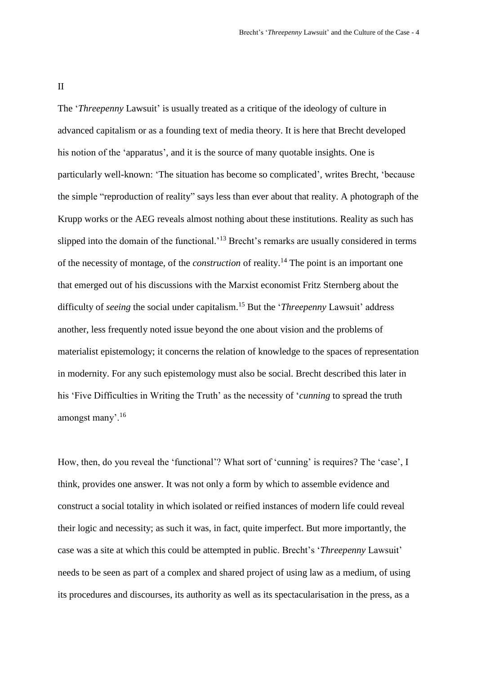II

The '*Threepenny* Lawsuit' is usually treated as a critique of the ideology of culture in advanced capitalism or as a founding text of media theory. It is here that Brecht developed his notion of the 'apparatus', and it is the source of many quotable insights. One is particularly well-known: 'The situation has become so complicated', writes Brecht, 'because the simple "reproduction of reality" says less than ever about that reality. A photograph of the Krupp works or the AEG reveals almost nothing about these institutions. Reality as such has slipped into the domain of the functional.<sup>'13</sup> Brecht's remarks are usually considered in terms of the necessity of montage, of the *construction* of reality. <sup>14</sup> The point is an important one that emerged out of his discussions with the Marxist economist Fritz Sternberg about the difficulty of *seeing* the social under capitalism. <sup>15</sup> But the '*Threepenny* Lawsuit' address another, less frequently noted issue beyond the one about vision and the problems of materialist epistemology; it concerns the relation of knowledge to the spaces of representation in modernity. For any such epistemology must also be social. Brecht described this later in his 'Five Difficulties in Writing the Truth' as the necessity of '*cunning* to spread the truth amongst many'.<sup>16</sup>

How, then, do you reveal the 'functional'? What sort of 'cunning' is requires? The 'case', I think, provides one answer. It was not only a form by which to assemble evidence and construct a social totality in which isolated or reified instances of modern life could reveal their logic and necessity; as such it was, in fact, quite imperfect. But more importantly, the case was a site at which this could be attempted in public. Brecht's '*Threepenny* Lawsuit' needs to be seen as part of a complex and shared project of using law as a medium, of using its procedures and discourses, its authority as well as its spectacularisation in the press, as a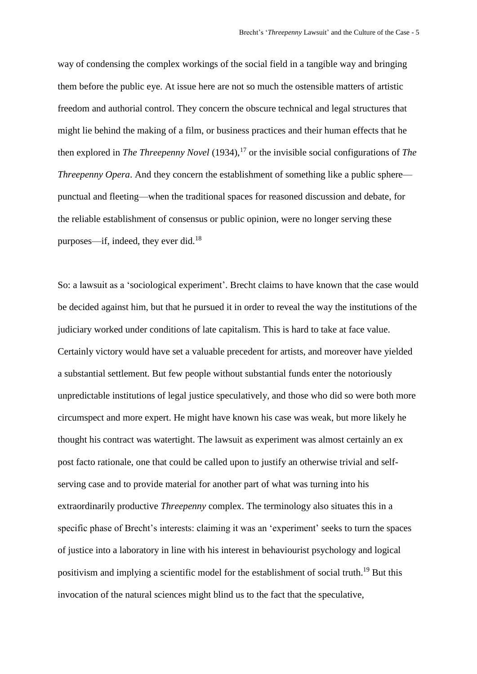way of condensing the complex workings of the social field in a tangible way and bringing them before the public eye. At issue here are not so much the ostensible matters of artistic freedom and authorial control. They concern the obscure technical and legal structures that might lie behind the making of a film, or business practices and their human effects that he then explored in *The Threepenny Novel* (1934), <sup>17</sup> or the invisible social configurations of *The Threepenny Opera*. And they concern the establishment of something like a public sphere punctual and fleeting—when the traditional spaces for reasoned discussion and debate, for the reliable establishment of consensus or public opinion, were no longer serving these purposes—if, indeed, they ever did.<sup>18</sup>

So: a lawsuit as a 'sociological experiment'. Brecht claims to have known that the case would be decided against him, but that he pursued it in order to reveal the way the institutions of the judiciary worked under conditions of late capitalism. This is hard to take at face value. Certainly victory would have set a valuable precedent for artists, and moreover have yielded a substantial settlement. But few people without substantial funds enter the notoriously unpredictable institutions of legal justice speculatively, and those who did so were both more circumspect and more expert. He might have known his case was weak, but more likely he thought his contract was watertight. The lawsuit as experiment was almost certainly an ex post facto rationale, one that could be called upon to justify an otherwise trivial and selfserving case and to provide material for another part of what was turning into his extraordinarily productive *Threepenny* complex. The terminology also situates this in a specific phase of Brecht's interests: claiming it was an 'experiment' seeks to turn the spaces of justice into a laboratory in line with his interest in behaviourist psychology and logical positivism and implying a scientific model for the establishment of social truth.<sup>19</sup> But this invocation of the natural sciences might blind us to the fact that the speculative,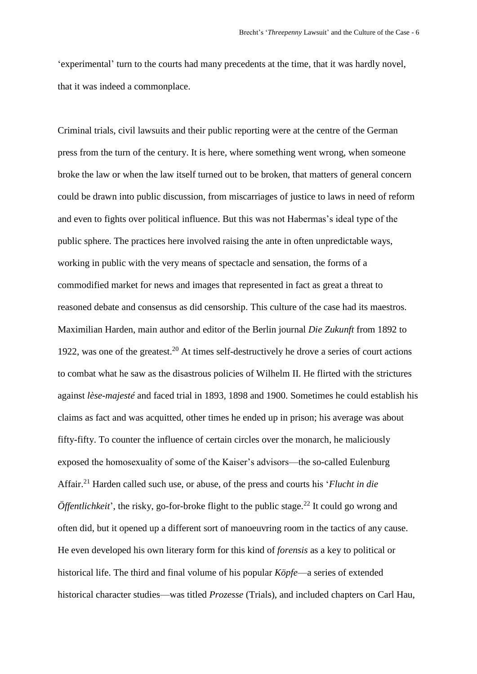'experimental' turn to the courts had many precedents at the time, that it was hardly novel, that it was indeed a commonplace.

Criminal trials, civil lawsuits and their public reporting were at the centre of the German press from the turn of the century. It is here, where something went wrong, when someone broke the law or when the law itself turned out to be broken, that matters of general concern could be drawn into public discussion, from miscarriages of justice to laws in need of reform and even to fights over political influence. But this was not Habermas's ideal type of the public sphere. The practices here involved raising the ante in often unpredictable ways, working in public with the very means of spectacle and sensation, the forms of a commodified market for news and images that represented in fact as great a threat to reasoned debate and consensus as did censorship. This culture of the case had its maestros. Maximilian Harden, main author and editor of the Berlin journal *Die Zukunft* from 1892 to 1922, was one of the greatest.<sup>20</sup> At times self-destructively he drove a series of court actions to combat what he saw as the disastrous policies of Wilhelm II. He flirted with the strictures against *lèse-majesté* and faced trial in 1893, 1898 and 1900. Sometimes he could establish his claims as fact and was acquitted, other times he ended up in prison; his average was about fifty-fifty. To counter the influence of certain circles over the monarch, he maliciously exposed the homosexuality of some of the Kaiser's advisors—the so-called Eulenburg Affair.<sup>21</sup> Harden called such use, or abuse, of the press and courts his '*Flucht in die*  Öffentlichkeit', the risky, go-for-broke flight to the public stage.<sup>22</sup> It could go wrong and often did, but it opened up a different sort of manoeuvring room in the tactics of any cause. He even developed his own literary form for this kind of *forensis* as a key to political or historical life. The third and final volume of his popular *Köpfe*—a series of extended historical character studies—was titled *Prozesse* (Trials), and included chapters on Carl Hau,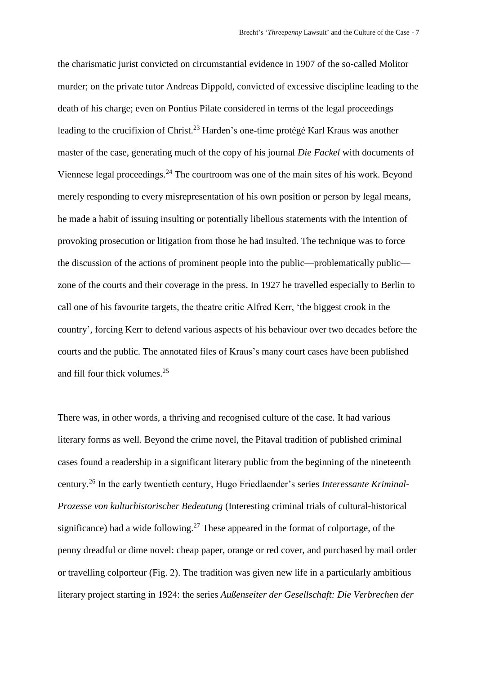the charismatic jurist convicted on circumstantial evidence in 1907 of the so-called Molitor murder; on the private tutor Andreas Dippold, convicted of excessive discipline leading to the death of his charge; even on Pontius Pilate considered in terms of the legal proceedings leading to the crucifixion of Christ.<sup>23</sup> Harden's one-time protégé Karl Kraus was another master of the case, generating much of the copy of his journal *Die Fackel* with documents of Viennese legal proceedings.<sup>24</sup> The courtroom was one of the main sites of his work. Beyond merely responding to every misrepresentation of his own position or person by legal means, he made a habit of issuing insulting or potentially libellous statements with the intention of provoking prosecution or litigation from those he had insulted. The technique was to force the discussion of the actions of prominent people into the public—problematically public zone of the courts and their coverage in the press. In 1927 he travelled especially to Berlin to call one of his favourite targets, the theatre critic Alfred Kerr, 'the biggest crook in the country', forcing Kerr to defend various aspects of his behaviour over two decades before the courts and the public. The annotated files of Kraus's many court cases have been published and fill four thick volumes.<sup>25</sup>

There was, in other words, a thriving and recognised culture of the case. It had various literary forms as well. Beyond the crime novel, the Pitaval tradition of published criminal cases found a readership in a significant literary public from the beginning of the nineteenth century.<sup>26</sup> In the early twentieth century, Hugo Friedlaender's series *Interessante Kriminal-Prozesse von kulturhistorischer Bedeutung* (Interesting criminal trials of cultural-historical significance) had a wide following.<sup>27</sup> These appeared in the format of colportage, of the penny dreadful or dime novel: cheap paper, orange or red cover, and purchased by mail order or travelling colporteur (Fig. 2). The tradition was given new life in a particularly ambitious literary project starting in 1924: the series *Außenseiter der Gesellschaft: Die Verbrechen der*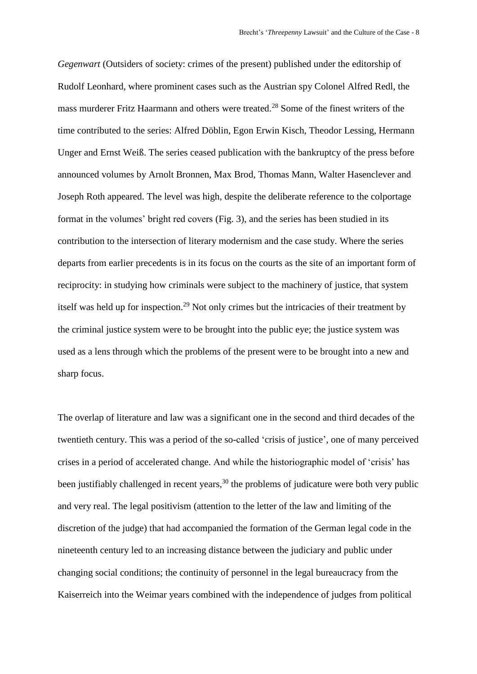*Gegenwart* (Outsiders of society: crimes of the present) published under the editorship of Rudolf Leonhard, where prominent cases such as the Austrian spy Colonel Alfred Redl, the mass murderer Fritz Haarmann and others were treated. <sup>28</sup> Some of the finest writers of the time contributed to the series: Alfred Döblin, Egon Erwin Kisch, Theodor Lessing, Hermann Unger and Ernst Weiß. The series ceased publication with the bankruptcy of the press before announced volumes by Arnolt Bronnen, Max Brod, Thomas Mann, Walter Hasenclever and Joseph Roth appeared. The level was high, despite the deliberate reference to the colportage format in the volumes' bright red covers (Fig. 3), and the series has been studied in its contribution to the intersection of literary modernism and the case study. Where the series departs from earlier precedents is in its focus on the courts as the site of an important form of reciprocity: in studying how criminals were subject to the machinery of justice, that system itself was held up for inspection.<sup>29</sup> Not only crimes but the intricacies of their treatment by the criminal justice system were to be brought into the public eye; the justice system was used as a lens through which the problems of the present were to be brought into a new and sharp focus.

The overlap of literature and law was a significant one in the second and third decades of the twentieth century. This was a period of the so-called 'crisis of justice', one of many perceived crises in a period of accelerated change. And while the historiographic model of 'crisis' has been justifiably challenged in recent years,  $30$  the problems of judicature were both very public and very real. The legal positivism (attention to the letter of the law and limiting of the discretion of the judge) that had accompanied the formation of the German legal code in the nineteenth century led to an increasing distance between the judiciary and public under changing social conditions; the continuity of personnel in the legal bureaucracy from the Kaiserreich into the Weimar years combined with the independence of judges from political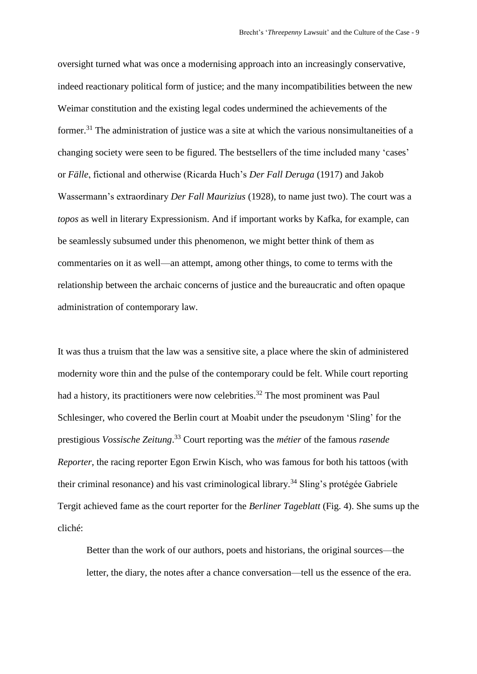oversight turned what was once a modernising approach into an increasingly conservative, indeed reactionary political form of justice; and the many incompatibilities between the new Weimar constitution and the existing legal codes undermined the achievements of the former.<sup>31</sup> The administration of justice was a site at which the various nonsimultaneities of a changing society were seen to be figured. The bestsellers of the time included many 'cases' or *Fälle*, fictional and otherwise (Ricarda Huch's *Der Fall Deruga* (1917) and Jakob Wassermann's extraordinary *Der Fall Maurizius* (1928), to name just two). The court was a *topos* as well in literary Expressionism. And if important works by Kafka, for example, can be seamlessly subsumed under this phenomenon, we might better think of them as commentaries on it as well—an attempt, among other things, to come to terms with the relationship between the archaic concerns of justice and the bureaucratic and often opaque administration of contemporary law.

It was thus a truism that the law was a sensitive site, a place where the skin of administered modernity wore thin and the pulse of the contemporary could be felt. While court reporting had a history, its practitioners were now celebrities.<sup>32</sup> The most prominent was Paul Schlesinger, who covered the Berlin court at Moabit under the pseudonym 'Sling' for the prestigious *Vossische Zeitung*. <sup>33</sup> Court reporting was the *métier* of the famous *rasende Reporter*, the racing reporter Egon Erwin Kisch, who was famous for both his tattoos (with their criminal resonance) and his vast criminological library.<sup>34</sup> Sling's protégée Gabriele Tergit achieved fame as the court reporter for the *Berliner Tageblatt* (Fig. 4). She sums up the cliché:

Better than the work of our authors, poets and historians, the original sources—the letter, the diary, the notes after a chance conversation—tell us the essence of the era.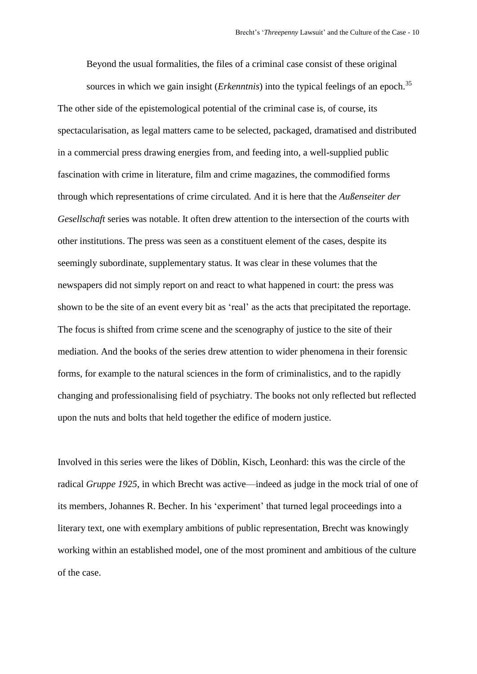Beyond the usual formalities, the files of a criminal case consist of these original

sources in which we gain insight *(Erkenntnis)* into the typical feelings of an epoch.<sup>35</sup> The other side of the epistemological potential of the criminal case is, of course, its spectacularisation, as legal matters came to be selected, packaged, dramatised and distributed in a commercial press drawing energies from, and feeding into, a well-supplied public fascination with crime in literature, film and crime magazines, the commodified forms through which representations of crime circulated. And it is here that the *Außenseiter der Gesellschaft* series was notable. It often drew attention to the intersection of the courts with other institutions. The press was seen as a constituent element of the cases, despite its seemingly subordinate, supplementary status. It was clear in these volumes that the newspapers did not simply report on and react to what happened in court: the press was shown to be the site of an event every bit as 'real' as the acts that precipitated the reportage. The focus is shifted from crime scene and the scenography of justice to the site of their mediation. And the books of the series drew attention to wider phenomena in their forensic forms, for example to the natural sciences in the form of criminalistics, and to the rapidly changing and professionalising field of psychiatry. The books not only reflected but reflected upon the nuts and bolts that held together the edifice of modern justice.

Involved in this series were the likes of Döblin, Kisch, Leonhard: this was the circle of the radical *Gruppe 1925*, in which Brecht was active—indeed as judge in the mock trial of one of its members, Johannes R. Becher. In his 'experiment' that turned legal proceedings into a literary text, one with exemplary ambitions of public representation, Brecht was knowingly working within an established model, one of the most prominent and ambitious of the culture of the case.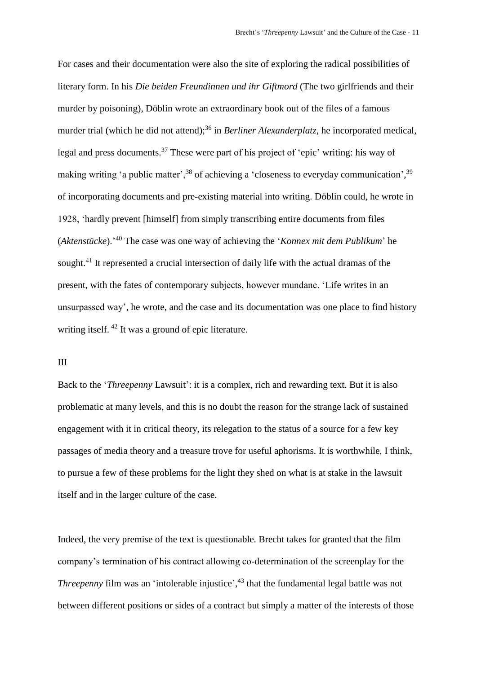For cases and their documentation were also the site of exploring the radical possibilities of literary form. In his *Die beiden Freundinnen und ihr Giftmord* (The two girlfriends and their murder by poisoning), Döblin wrote an extraordinary book out of the files of a famous murder trial (which he did not attend); <sup>36</sup> in *Berliner Alexanderplatz*, he incorporated medical, legal and press documents.<sup>37</sup> These were part of his project of 'epic' writing: his way of making writing 'a public matter',<sup>38</sup> of achieving a 'closeness to everyday communication',<sup>39</sup> of incorporating documents and pre-existing material into writing. Döblin could, he wrote in 1928, 'hardly prevent [himself] from simply transcribing entire documents from files (*Aktenstücke*).' <sup>40</sup> The case was one way of achieving the '*Konnex mit dem Publikum*' he sought.<sup>41</sup> It represented a crucial intersection of daily life with the actual dramas of the present, with the fates of contemporary subjects, however mundane. 'Life writes in an unsurpassed way', he wrote, and the case and its documentation was one place to find history writing itself. <sup>42</sup> It was a ground of epic literature.

#### III

Back to the '*Threepenny* Lawsuit': it is a complex, rich and rewarding text. But it is also problematic at many levels, and this is no doubt the reason for the strange lack of sustained engagement with it in critical theory, its relegation to the status of a source for a few key passages of media theory and a treasure trove for useful aphorisms. It is worthwhile, I think, to pursue a few of these problems for the light they shed on what is at stake in the lawsuit itself and in the larger culture of the case.

Indeed, the very premise of the text is questionable. Brecht takes for granted that the film company's termination of his contract allowing co-determination of the screenplay for the *Threepenny* film was an 'intolerable injustice', <sup>43</sup> that the fundamental legal battle was not between different positions or sides of a contract but simply a matter of the interests of those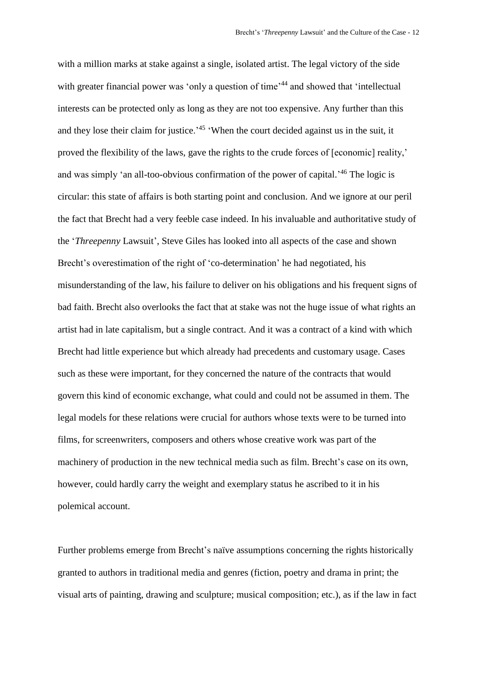with a million marks at stake against a single, isolated artist. The legal victory of the side with greater financial power was 'only a question of time'<sup>44</sup> and showed that 'intellectual interests can be protected only as long as they are not too expensive. Any further than this and they lose their claim for justice.<sup>45</sup> 'When the court decided against us in the suit, it proved the flexibility of the laws, gave the rights to the crude forces of [economic] reality,' and was simply 'an all-too-obvious confirmation of the power of capital.<sup>46</sup> The logic is circular: this state of affairs is both starting point and conclusion. And we ignore at our peril the fact that Brecht had a very feeble case indeed. In his invaluable and authoritative study of the '*Threepenny* Lawsuit', Steve Giles has looked into all aspects of the case and shown Brecht's overestimation of the right of 'co-determination' he had negotiated, his misunderstanding of the law, his failure to deliver on his obligations and his frequent signs of bad faith. Brecht also overlooks the fact that at stake was not the huge issue of what rights an artist had in late capitalism, but a single contract. And it was a contract of a kind with which Brecht had little experience but which already had precedents and customary usage. Cases such as these were important, for they concerned the nature of the contracts that would govern this kind of economic exchange, what could and could not be assumed in them. The legal models for these relations were crucial for authors whose texts were to be turned into films, for screenwriters, composers and others whose creative work was part of the machinery of production in the new technical media such as film. Brecht's case on its own, however, could hardly carry the weight and exemplary status he ascribed to it in his polemical account.

Further problems emerge from Brecht's naïve assumptions concerning the rights historically granted to authors in traditional media and genres (fiction, poetry and drama in print; the visual arts of painting, drawing and sculpture; musical composition; etc.), as if the law in fact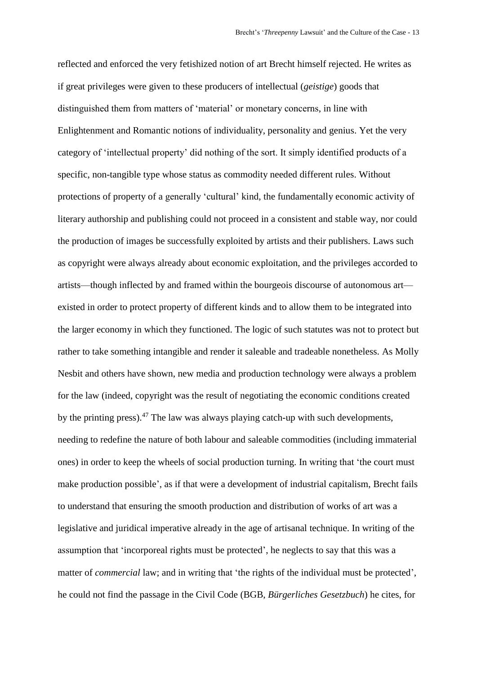reflected and enforced the very fetishized notion of art Brecht himself rejected. He writes as if great privileges were given to these producers of intellectual (*geistige*) goods that distinguished them from matters of 'material' or monetary concerns, in line with Enlightenment and Romantic notions of individuality, personality and genius. Yet the very category of 'intellectual property' did nothing of the sort. It simply identified products of a specific, non-tangible type whose status as commodity needed different rules. Without protections of property of a generally 'cultural' kind, the fundamentally economic activity of literary authorship and publishing could not proceed in a consistent and stable way, nor could the production of images be successfully exploited by artists and their publishers. Laws such as copyright were always already about economic exploitation, and the privileges accorded to artists—though inflected by and framed within the bourgeois discourse of autonomous art existed in order to protect property of different kinds and to allow them to be integrated into the larger economy in which they functioned. The logic of such statutes was not to protect but rather to take something intangible and render it saleable and tradeable nonetheless. As Molly Nesbit and others have shown, new media and production technology were always a problem for the law (indeed, copyright was the result of negotiating the economic conditions created by the printing press). $^{47}$  The law was always playing catch-up with such developments, needing to redefine the nature of both labour and saleable commodities (including immaterial ones) in order to keep the wheels of social production turning. In writing that 'the court must make production possible', as if that were a development of industrial capitalism, Brecht fails to understand that ensuring the smooth production and distribution of works of art was a legislative and juridical imperative already in the age of artisanal technique. In writing of the assumption that 'incorporeal rights must be protected', he neglects to say that this was a matter of *commercial* law; and in writing that 'the rights of the individual must be protected', he could not find the passage in the Civil Code (BGB, *Bürgerliches Gesetzbuch*) he cites, for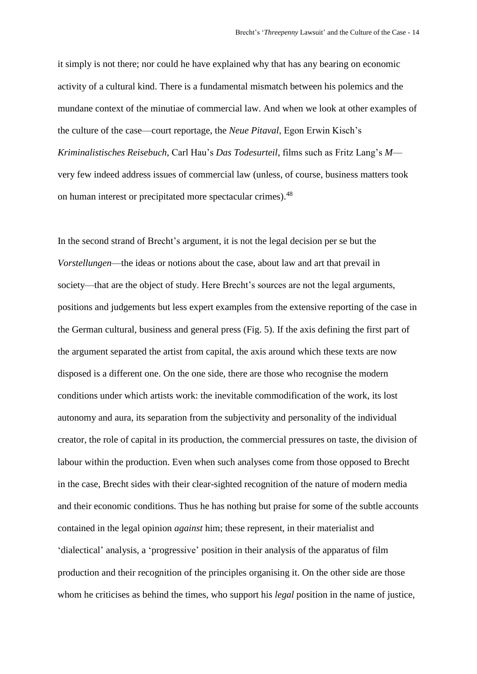it simply is not there; nor could he have explained why that has any bearing on economic activity of a cultural kind. There is a fundamental mismatch between his polemics and the mundane context of the minutiae of commercial law. And when we look at other examples of the culture of the case—court reportage, the *Neue Pitaval*, Egon Erwin Kisch's *Kriminalistisches Reisebuch*, Carl Hau's *Das Todesurteil*, films such as Fritz Lang's *M* very few indeed address issues of commercial law (unless, of course, business matters took on human interest or precipitated more spectacular crimes).<sup>48</sup>

In the second strand of Brecht's argument, it is not the legal decision per se but the *Vorstellungen*—the ideas or notions about the case, about law and art that prevail in society—that are the object of study. Here Brecht's sources are not the legal arguments, positions and judgements but less expert examples from the extensive reporting of the case in the German cultural, business and general press (Fig. 5). If the axis defining the first part of the argument separated the artist from capital, the axis around which these texts are now disposed is a different one. On the one side, there are those who recognise the modern conditions under which artists work: the inevitable commodification of the work, its lost autonomy and aura, its separation from the subjectivity and personality of the individual creator, the role of capital in its production, the commercial pressures on taste, the division of labour within the production. Even when such analyses come from those opposed to Brecht in the case, Brecht sides with their clear-sighted recognition of the nature of modern media and their economic conditions. Thus he has nothing but praise for some of the subtle accounts contained in the legal opinion *against* him; these represent, in their materialist and 'dialectical' analysis, a 'progressive' position in their analysis of the apparatus of film production and their recognition of the principles organising it. On the other side are those whom he criticises as behind the times, who support his *legal* position in the name of justice,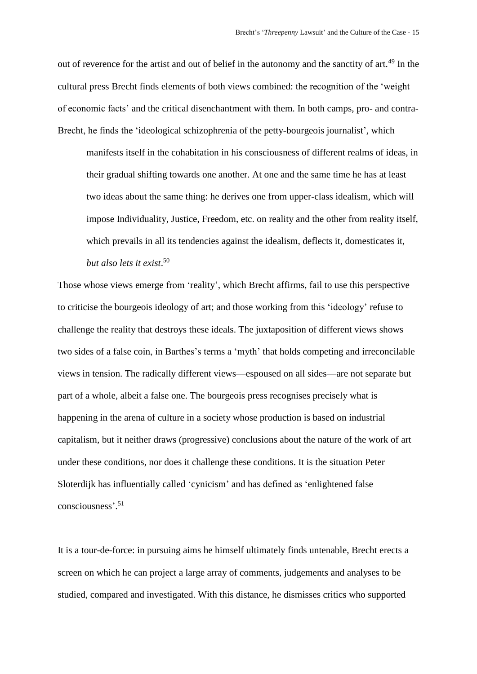out of reverence for the artist and out of belief in the autonomy and the sanctity of art.<sup>49</sup> In the cultural press Brecht finds elements of both views combined: the recognition of the 'weight of economic facts' and the critical disenchantment with them. In both camps, pro- and contra-Brecht, he finds the 'ideological schizophrenia of the petty-bourgeois journalist', which

manifests itself in the cohabitation in his consciousness of different realms of ideas, in their gradual shifting towards one another. At one and the same time he has at least two ideas about the same thing: he derives one from upper-class idealism, which will impose Individuality, Justice, Freedom, etc. on reality and the other from reality itself, which prevails in all its tendencies against the idealism, deflects it, domesticates it, *but also lets it exist*. 50

Those whose views emerge from 'reality', which Brecht affirms, fail to use this perspective to criticise the bourgeois ideology of art; and those working from this 'ideology' refuse to challenge the reality that destroys these ideals. The juxtaposition of different views shows two sides of a false coin, in Barthes's terms a 'myth' that holds competing and irreconcilable views in tension. The radically different views—espoused on all sides—are not separate but part of a whole, albeit a false one. The bourgeois press recognises precisely what is happening in the arena of culture in a society whose production is based on industrial capitalism, but it neither draws (progressive) conclusions about the nature of the work of art under these conditions, nor does it challenge these conditions. It is the situation Peter Sloterdijk has influentially called 'cynicism' and has defined as 'enlightened false consciousness'. 51

It is a tour-de-force: in pursuing aims he himself ultimately finds untenable, Brecht erects a screen on which he can project a large array of comments, judgements and analyses to be studied, compared and investigated. With this distance, he dismisses critics who supported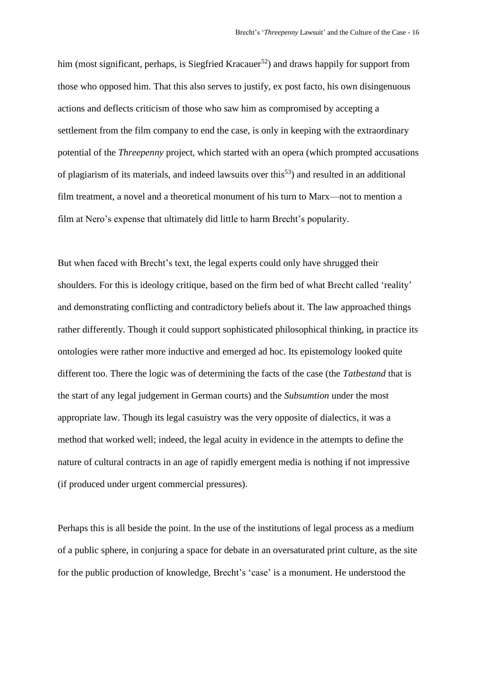him (most significant, perhaps, is Siegfried Kracauer<sup>52</sup>) and draws happily for support from those who opposed him. That this also serves to justify, ex post facto, his own disingenuous actions and deflects criticism of those who saw him as compromised by accepting a settlement from the film company to end the case, is only in keeping with the extraordinary potential of the *Threepenny* project, which started with an opera (which prompted accusations of plagiarism of its materials, and indeed lawsuits over this<sup>53</sup>) and resulted in an additional film treatment, a novel and a theoretical monument of his turn to Marx—not to mention a film at Nero's expense that ultimately did little to harm Brecht's popularity.

But when faced with Brecht's text, the legal experts could only have shrugged their shoulders. For this is ideology critique, based on the firm bed of what Brecht called 'reality' and demonstrating conflicting and contradictory beliefs about it. The law approached things rather differently. Though it could support sophisticated philosophical thinking, in practice its ontologies were rather more inductive and emerged ad hoc. Its epistemology looked quite different too. There the logic was of determining the facts of the case (the *Tatbestand* that is the start of any legal judgement in German courts) and the *Subsumtion* under the most appropriate law. Though its legal casuistry was the very opposite of dialectics, it was a method that worked well; indeed, the legal acuity in evidence in the attempts to define the nature of cultural contracts in an age of rapidly emergent media is nothing if not impressive (if produced under urgent commercial pressures).

Perhaps this is all beside the point. In the use of the institutions of legal process as a medium of a public sphere, in conjuring a space for debate in an oversaturated print culture, as the site for the public production of knowledge, Brecht's 'case' is a monument. He understood the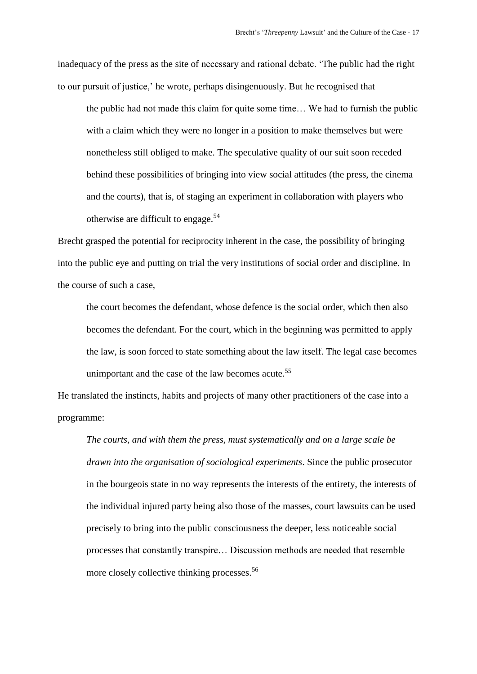inadequacy of the press as the site of necessary and rational debate. 'The public had the right to our pursuit of justice,' he wrote, perhaps disingenuously. But he recognised that

the public had not made this claim for quite some time… We had to furnish the public with a claim which they were no longer in a position to make themselves but were nonetheless still obliged to make. The speculative quality of our suit soon receded behind these possibilities of bringing into view social attitudes (the press, the cinema and the courts), that is, of staging an experiment in collaboration with players who otherwise are difficult to engage.<sup>54</sup>

Brecht grasped the potential for reciprocity inherent in the case, the possibility of bringing into the public eye and putting on trial the very institutions of social order and discipline. In the course of such a case,

the court becomes the defendant, whose defence is the social order, which then also becomes the defendant. For the court, which in the beginning was permitted to apply the law, is soon forced to state something about the law itself. The legal case becomes unimportant and the case of the law becomes acute.<sup>55</sup>

He translated the instincts, habits and projects of many other practitioners of the case into a programme:

*The courts, and with them the press, must systematically and on a large scale be drawn into the organisation of sociological experiments*. Since the public prosecutor in the bourgeois state in no way represents the interests of the entirety, the interests of the individual injured party being also those of the masses, court lawsuits can be used precisely to bring into the public consciousness the deeper, less noticeable social processes that constantly transpire… Discussion methods are needed that resemble more closely collective thinking processes.<sup>56</sup>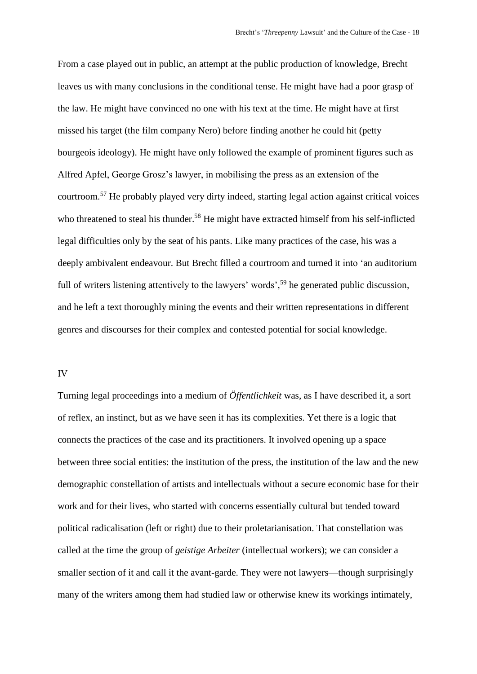From a case played out in public, an attempt at the public production of knowledge, Brecht leaves us with many conclusions in the conditional tense. He might have had a poor grasp of the law. He might have convinced no one with his text at the time. He might have at first missed his target (the film company Nero) before finding another he could hit (petty bourgeois ideology). He might have only followed the example of prominent figures such as Alfred Apfel, George Grosz's lawyer, in mobilising the press as an extension of the courtroom.<sup>57</sup> He probably played very dirty indeed, starting legal action against critical voices who threatened to steal his thunder.<sup>58</sup> He might have extracted himself from his self-inflicted legal difficulties only by the seat of his pants. Like many practices of the case, his was a deeply ambivalent endeavour. But Brecht filled a courtroom and turned it into 'an auditorium full of writers listening attentively to the lawyers' words',<sup>59</sup> he generated public discussion, and he left a text thoroughly mining the events and their written representations in different genres and discourses for their complex and contested potential for social knowledge.

### IV

Turning legal proceedings into a medium of *Öffentlichkeit* was, as I have described it, a sort of reflex, an instinct, but as we have seen it has its complexities. Yet there is a logic that connects the practices of the case and its practitioners. It involved opening up a space between three social entities: the institution of the press, the institution of the law and the new demographic constellation of artists and intellectuals without a secure economic base for their work and for their lives, who started with concerns essentially cultural but tended toward political radicalisation (left or right) due to their proletarianisation. That constellation was called at the time the group of *geistige Arbeiter* (intellectual workers); we can consider a smaller section of it and call it the avant-garde. They were not lawyers—though surprisingly many of the writers among them had studied law or otherwise knew its workings intimately,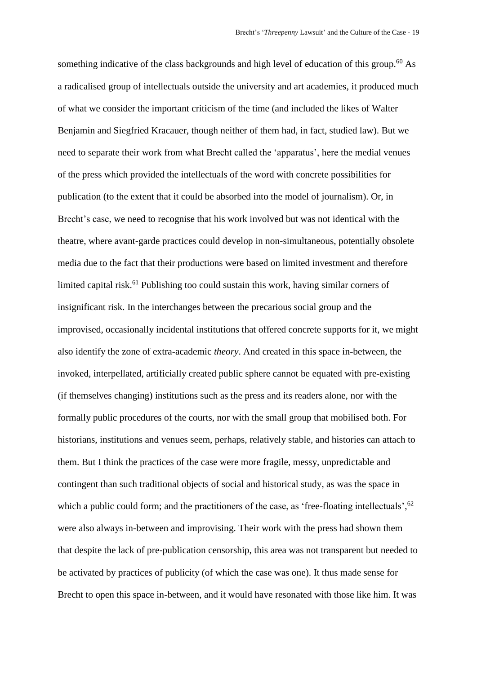something indicative of the class backgrounds and high level of education of this group.<sup>60</sup> As a radicalised group of intellectuals outside the university and art academies, it produced much of what we consider the important criticism of the time (and included the likes of Walter Benjamin and Siegfried Kracauer, though neither of them had, in fact, studied law). But we need to separate their work from what Brecht called the 'apparatus', here the medial venues of the press which provided the intellectuals of the word with concrete possibilities for publication (to the extent that it could be absorbed into the model of journalism). Or, in Brecht's case, we need to recognise that his work involved but was not identical with the theatre, where avant-garde practices could develop in non-simultaneous, potentially obsolete media due to the fact that their productions were based on limited investment and therefore limited capital risk.<sup>61</sup> Publishing too could sustain this work, having similar corners of insignificant risk. In the interchanges between the precarious social group and the improvised, occasionally incidental institutions that offered concrete supports for it, we might also identify the zone of extra-academic *theory*. And created in this space in-between, the invoked, interpellated, artificially created public sphere cannot be equated with pre-existing (if themselves changing) institutions such as the press and its readers alone, nor with the formally public procedures of the courts, nor with the small group that mobilised both. For historians, institutions and venues seem, perhaps, relatively stable, and histories can attach to them. But I think the practices of the case were more fragile, messy, unpredictable and contingent than such traditional objects of social and historical study, as was the space in which a public could form; and the practitioners of the case, as 'free-floating intellectuals', <sup>62</sup> were also always in-between and improvising. Their work with the press had shown them that despite the lack of pre-publication censorship, this area was not transparent but needed to be activated by practices of publicity (of which the case was one). It thus made sense for Brecht to open this space in-between, and it would have resonated with those like him. It was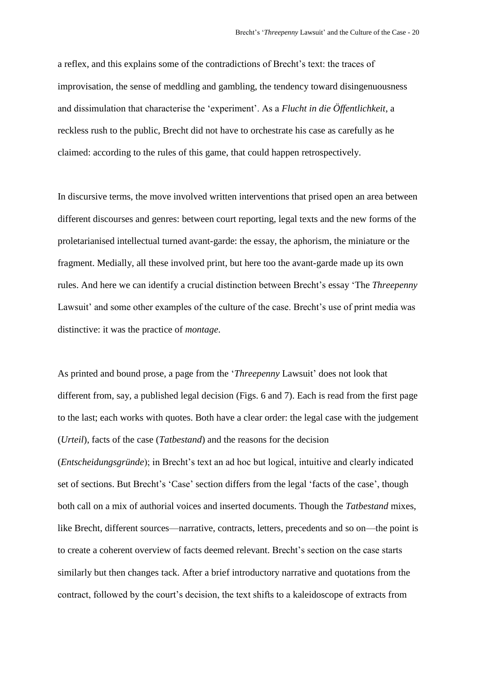a reflex, and this explains some of the contradictions of Brecht's text: the traces of improvisation, the sense of meddling and gambling, the tendency toward disingenuousness and dissimulation that characterise the 'experiment'. As a *Flucht in die Öffentlichkeit*, a reckless rush to the public, Brecht did not have to orchestrate his case as carefully as he claimed: according to the rules of this game, that could happen retrospectively.

In discursive terms, the move involved written interventions that prised open an area between different discourses and genres: between court reporting, legal texts and the new forms of the proletarianised intellectual turned avant-garde: the essay, the aphorism, the miniature or the fragment. Medially, all these involved print, but here too the avant-garde made up its own rules. And here we can identify a crucial distinction between Brecht's essay 'The *Threepenny* Lawsuit' and some other examples of the culture of the case. Brecht's use of print media was distinctive: it was the practice of *montage*.

As printed and bound prose, a page from the '*Threepenny* Lawsuit' does not look that different from, say, a published legal decision (Figs. 6 and 7). Each is read from the first page to the last; each works with quotes. Both have a clear order: the legal case with the judgement (*Urteil*), facts of the case (*Tatbestand*) and the reasons for the decision (*Entscheidungsgründe*); in Brecht's text an ad hoc but logical, intuitive and clearly indicated set of sections. But Brecht's 'Case' section differs from the legal 'facts of the case', though both call on a mix of authorial voices and inserted documents. Though the *Tatbestand* mixes, like Brecht, different sources—narrative, contracts, letters, precedents and so on—the point is to create a coherent overview of facts deemed relevant. Brecht's section on the case starts similarly but then changes tack. After a brief introductory narrative and quotations from the contract, followed by the court's decision, the text shifts to a kaleidoscope of extracts from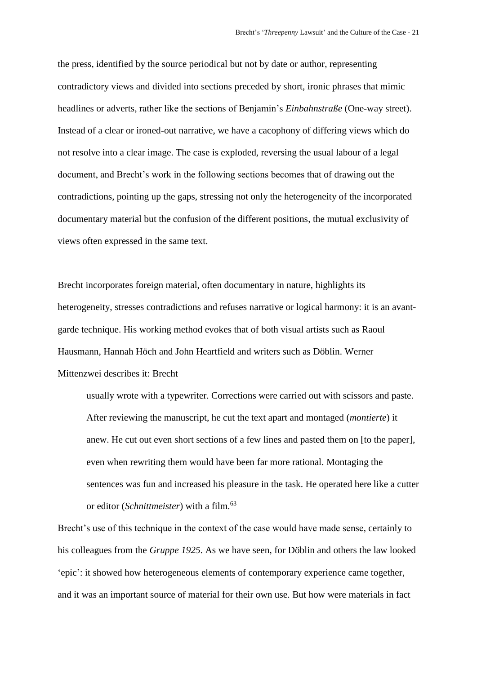the press, identified by the source periodical but not by date or author, representing contradictory views and divided into sections preceded by short, ironic phrases that mimic headlines or adverts, rather like the sections of Benjamin's *Einbahnstraße* (One-way street). Instead of a clear or ironed-out narrative, we have a cacophony of differing views which do not resolve into a clear image. The case is exploded, reversing the usual labour of a legal document, and Brecht's work in the following sections becomes that of drawing out the contradictions, pointing up the gaps, stressing not only the heterogeneity of the incorporated documentary material but the confusion of the different positions, the mutual exclusivity of views often expressed in the same text.

Brecht incorporates foreign material, often documentary in nature, highlights its heterogeneity, stresses contradictions and refuses narrative or logical harmony: it is an avantgarde technique. His working method evokes that of both visual artists such as Raoul Hausmann, Hannah Höch and John Heartfield and writers such as Döblin. Werner Mittenzwei describes it: Brecht

usually wrote with a typewriter. Corrections were carried out with scissors and paste. After reviewing the manuscript, he cut the text apart and montaged (*montierte*) it anew. He cut out even short sections of a few lines and pasted them on [to the paper], even when rewriting them would have been far more rational. Montaging the sentences was fun and increased his pleasure in the task. He operated here like a cutter or editor (*Schnittmeister*) with a film.<sup>63</sup>

Brecht's use of this technique in the context of the case would have made sense, certainly to his colleagues from the *Gruppe 1925*. As we have seen, for Döblin and others the law looked 'epic': it showed how heterogeneous elements of contemporary experience came together, and it was an important source of material for their own use. But how were materials in fact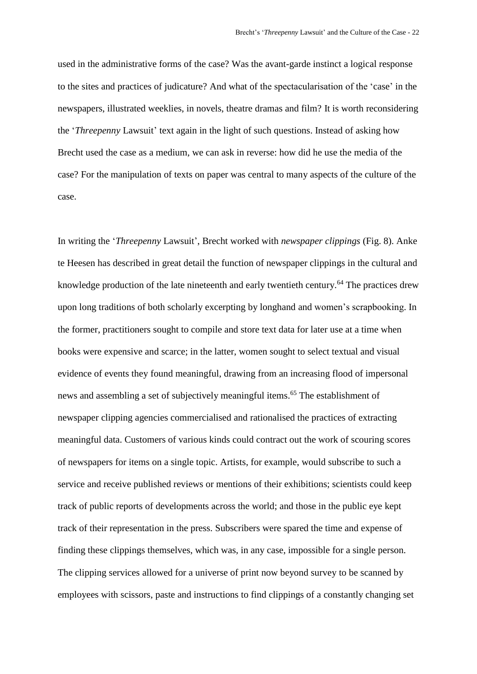used in the administrative forms of the case? Was the avant-garde instinct a logical response to the sites and practices of judicature? And what of the spectacularisation of the 'case' in the newspapers, illustrated weeklies, in novels, theatre dramas and film? It is worth reconsidering the '*Threepenny* Lawsuit' text again in the light of such questions. Instead of asking how Brecht used the case as a medium, we can ask in reverse: how did he use the media of the case? For the manipulation of texts on paper was central to many aspects of the culture of the case.

In writing the '*Threepenny* Lawsuit', Brecht worked with *newspaper clippings* (Fig. 8). Anke te Heesen has described in great detail the function of newspaper clippings in the cultural and knowledge production of the late nineteenth and early twentieth century.<sup>64</sup> The practices drew upon long traditions of both scholarly excerpting by longhand and women's scrapbooking. In the former, practitioners sought to compile and store text data for later use at a time when books were expensive and scarce; in the latter, women sought to select textual and visual evidence of events they found meaningful, drawing from an increasing flood of impersonal news and assembling a set of subjectively meaningful items. <sup>65</sup> The establishment of newspaper clipping agencies commercialised and rationalised the practices of extracting meaningful data. Customers of various kinds could contract out the work of scouring scores of newspapers for items on a single topic. Artists, for example, would subscribe to such a service and receive published reviews or mentions of their exhibitions; scientists could keep track of public reports of developments across the world; and those in the public eye kept track of their representation in the press. Subscribers were spared the time and expense of finding these clippings themselves, which was, in any case, impossible for a single person. The clipping services allowed for a universe of print now beyond survey to be scanned by employees with scissors, paste and instructions to find clippings of a constantly changing set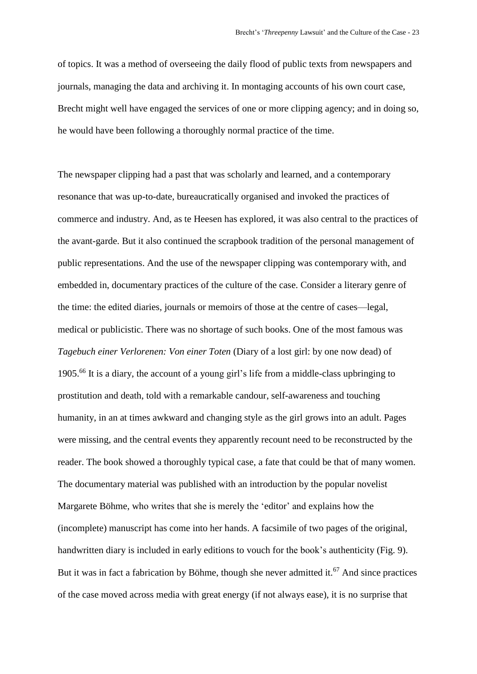of topics. It was a method of overseeing the daily flood of public texts from newspapers and journals, managing the data and archiving it. In montaging accounts of his own court case, Brecht might well have engaged the services of one or more clipping agency; and in doing so, he would have been following a thoroughly normal practice of the time.

The newspaper clipping had a past that was scholarly and learned, and a contemporary resonance that was up-to-date, bureaucratically organised and invoked the practices of commerce and industry. And, as te Heesen has explored, it was also central to the practices of the avant-garde. But it also continued the scrapbook tradition of the personal management of public representations. And the use of the newspaper clipping was contemporary with, and embedded in, documentary practices of the culture of the case. Consider a literary genre of the time: the edited diaries, journals or memoirs of those at the centre of cases—legal, medical or publicistic. There was no shortage of such books. One of the most famous was *Tagebuch einer Verlorenen: Von einer Toten* (Diary of a lost girl: by one now dead) of 1905.<sup>66</sup> It is a diary, the account of a young girl's life from a middle-class upbringing to prostitution and death, told with a remarkable candour, self-awareness and touching humanity, in an at times awkward and changing style as the girl grows into an adult. Pages were missing, and the central events they apparently recount need to be reconstructed by the reader. The book showed a thoroughly typical case, a fate that could be that of many women. The documentary material was published with an introduction by the popular novelist Margarete Böhme, who writes that she is merely the 'editor' and explains how the (incomplete) manuscript has come into her hands. A facsimile of two pages of the original, handwritten diary is included in early editions to vouch for the book's authenticity (Fig. 9). But it was in fact a fabrication by Böhme, though she never admitted it.<sup>67</sup> And since practices of the case moved across media with great energy (if not always ease), it is no surprise that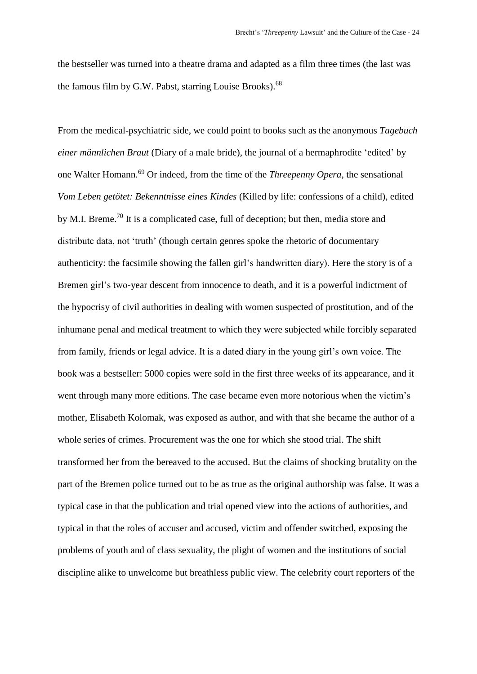the bestseller was turned into a theatre drama and adapted as a film three times (the last was the famous film by G.W. Pabst, starring Louise Brooks). $68$ 

From the medical-psychiatric side, we could point to books such as the anonymous *Tagebuch einer männlichen Braut* (Diary of a male bride), the journal of a hermaphrodite 'edited' by one Walter Homann.<sup>69</sup> Or indeed, from the time of the *Threepenny Opera*, the sensational *Vom Leben getötet: Bekenntnisse eines Kindes* (Killed by life: confessions of a child), edited by M.I. Breme.<sup>70</sup> It is a complicated case, full of deception; but then, media store and distribute data, not 'truth' (though certain genres spoke the rhetoric of documentary authenticity: the facsimile showing the fallen girl's handwritten diary). Here the story is of a Bremen girl's two-year descent from innocence to death, and it is a powerful indictment of the hypocrisy of civil authorities in dealing with women suspected of prostitution, and of the inhumane penal and medical treatment to which they were subjected while forcibly separated from family, friends or legal advice. It is a dated diary in the young girl's own voice. The book was a bestseller: 5000 copies were sold in the first three weeks of its appearance, and it went through many more editions. The case became even more notorious when the victim's mother, Elisabeth Kolomak, was exposed as author, and with that she became the author of a whole series of crimes. Procurement was the one for which she stood trial. The shift transformed her from the bereaved to the accused. But the claims of shocking brutality on the part of the Bremen police turned out to be as true as the original authorship was false. It was a typical case in that the publication and trial opened view into the actions of authorities, and typical in that the roles of accuser and accused, victim and offender switched, exposing the problems of youth and of class sexuality, the plight of women and the institutions of social discipline alike to unwelcome but breathless public view. The celebrity court reporters of the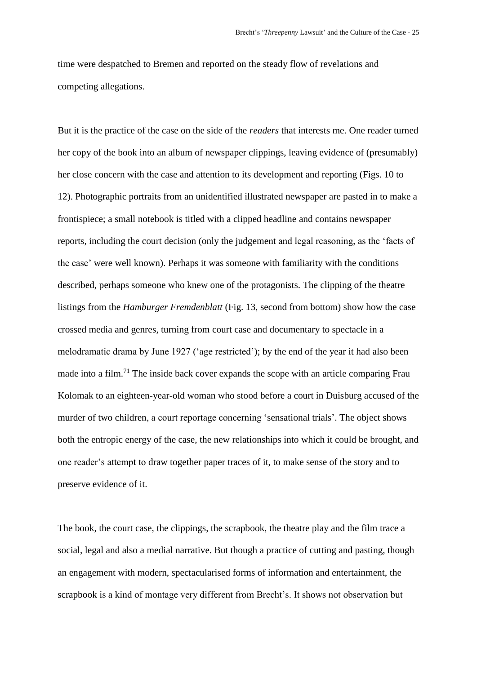time were despatched to Bremen and reported on the steady flow of revelations and competing allegations.

But it is the practice of the case on the side of the *readers* that interests me. One reader turned her copy of the book into an album of newspaper clippings, leaving evidence of (presumably) her close concern with the case and attention to its development and reporting (Figs. 10 to 12). Photographic portraits from an unidentified illustrated newspaper are pasted in to make a frontispiece; a small notebook is titled with a clipped headline and contains newspaper reports, including the court decision (only the judgement and legal reasoning, as the 'facts of the case' were well known). Perhaps it was someone with familiarity with the conditions described, perhaps someone who knew one of the protagonists. The clipping of the theatre listings from the *Hamburger Fremdenblatt* (Fig. 13, second from bottom) show how the case crossed media and genres, turning from court case and documentary to spectacle in a melodramatic drama by June 1927 ('age restricted'); by the end of the year it had also been made into a film.<sup>71</sup> The inside back cover expands the scope with an article comparing Frau Kolomak to an eighteen-year-old woman who stood before a court in Duisburg accused of the murder of two children, a court reportage concerning 'sensational trials'. The object shows both the entropic energy of the case, the new relationships into which it could be brought, and one reader's attempt to draw together paper traces of it, to make sense of the story and to preserve evidence of it.

The book, the court case, the clippings, the scrapbook, the theatre play and the film trace a social, legal and also a medial narrative. But though a practice of cutting and pasting, though an engagement with modern, spectacularised forms of information and entertainment, the scrapbook is a kind of montage very different from Brecht's. It shows not observation but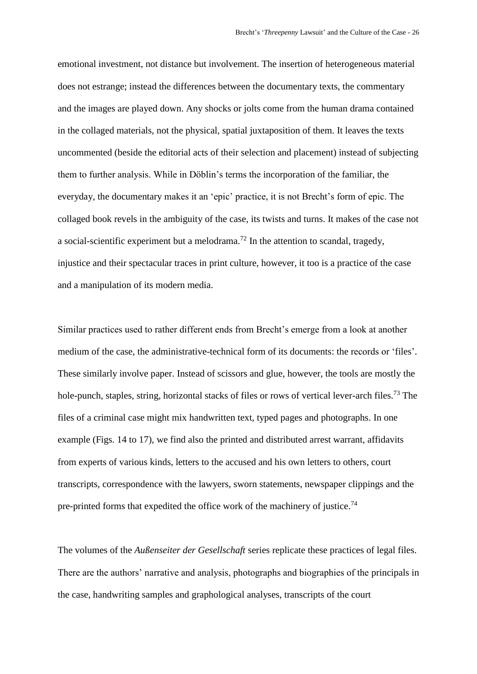emotional investment, not distance but involvement. The insertion of heterogeneous material does not estrange; instead the differences between the documentary texts, the commentary and the images are played down. Any shocks or jolts come from the human drama contained in the collaged materials, not the physical, spatial juxtaposition of them. It leaves the texts uncommented (beside the editorial acts of their selection and placement) instead of subjecting them to further analysis. While in Döblin's terms the incorporation of the familiar, the everyday, the documentary makes it an 'epic' practice, it is not Brecht's form of epic. The collaged book revels in the ambiguity of the case, its twists and turns. It makes of the case not a social-scientific experiment but a melodrama.<sup>72</sup> In the attention to scandal, tragedy, injustice and their spectacular traces in print culture, however, it too is a practice of the case and a manipulation of its modern media.

Similar practices used to rather different ends from Brecht's emerge from a look at another medium of the case, the administrative-technical form of its documents: the records or 'files'. These similarly involve paper. Instead of scissors and glue, however, the tools are mostly the hole-punch, staples, string, horizontal stacks of files or rows of vertical lever-arch files.<sup>73</sup> The files of a criminal case might mix handwritten text, typed pages and photographs. In one example (Figs. 14 to 17), we find also the printed and distributed arrest warrant, affidavits from experts of various kinds, letters to the accused and his own letters to others, court transcripts, correspondence with the lawyers, sworn statements, newspaper clippings and the pre-printed forms that expedited the office work of the machinery of justice.<sup>74</sup>

The volumes of the *Außenseiter der Gesellschaft* series replicate these practices of legal files. There are the authors' narrative and analysis, photographs and biographies of the principals in the case, handwriting samples and graphological analyses, transcripts of the court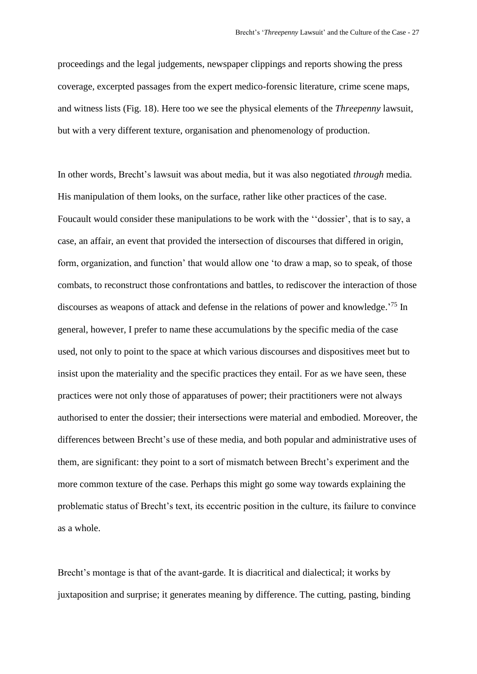proceedings and the legal judgements, newspaper clippings and reports showing the press coverage, excerpted passages from the expert medico-forensic literature, crime scene maps, and witness lists (Fig. 18). Here too we see the physical elements of the *Threepenny* lawsuit, but with a very different texture, organisation and phenomenology of production.

In other words, Brecht's lawsuit was about media, but it was also negotiated *through* media. His manipulation of them looks, on the surface, rather like other practices of the case. Foucault would consider these manipulations to be work with the ''dossier', that is to say, a case, an affair, an event that provided the intersection of discourses that differed in origin, form, organization, and function' that would allow one 'to draw a map, so to speak, of those combats, to reconstruct those confrontations and battles, to rediscover the interaction of those discourses as weapons of attack and defense in the relations of power and knowledge.<sup>75</sup> In general, however, I prefer to name these accumulations by the specific media of the case used, not only to point to the space at which various discourses and dispositives meet but to insist upon the materiality and the specific practices they entail. For as we have seen, these practices were not only those of apparatuses of power; their practitioners were not always authorised to enter the dossier; their intersections were material and embodied. Moreover, the differences between Brecht's use of these media, and both popular and administrative uses of them, are significant: they point to a sort of mismatch between Brecht's experiment and the more common texture of the case. Perhaps this might go some way towards explaining the problematic status of Brecht's text, its eccentric position in the culture, its failure to convince as a whole.

Brecht's montage is that of the avant-garde. It is diacritical and dialectical; it works by juxtaposition and surprise; it generates meaning by difference. The cutting, pasting, binding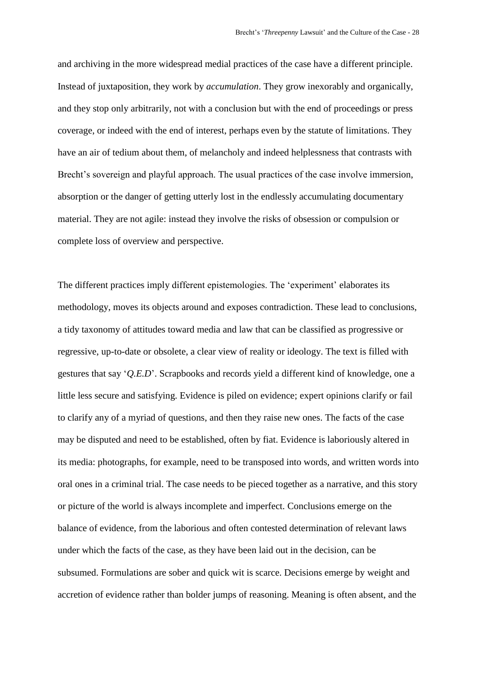and archiving in the more widespread medial practices of the case have a different principle. Instead of juxtaposition, they work by *accumulation*. They grow inexorably and organically, and they stop only arbitrarily, not with a conclusion but with the end of proceedings or press coverage, or indeed with the end of interest, perhaps even by the statute of limitations. They have an air of tedium about them, of melancholy and indeed helplessness that contrasts with Brecht's sovereign and playful approach. The usual practices of the case involve immersion, absorption or the danger of getting utterly lost in the endlessly accumulating documentary material. They are not agile: instead they involve the risks of obsession or compulsion or complete loss of overview and perspective.

The different practices imply different epistemologies. The 'experiment' elaborates its methodology, moves its objects around and exposes contradiction. These lead to conclusions, a tidy taxonomy of attitudes toward media and law that can be classified as progressive or regressive, up-to-date or obsolete, a clear view of reality or ideology. The text is filled with gestures that say '*Q.E.D*'. Scrapbooks and records yield a different kind of knowledge, one a little less secure and satisfying. Evidence is piled on evidence; expert opinions clarify or fail to clarify any of a myriad of questions, and then they raise new ones. The facts of the case may be disputed and need to be established, often by fiat. Evidence is laboriously altered in its media: photographs, for example, need to be transposed into words, and written words into oral ones in a criminal trial. The case needs to be pieced together as a narrative, and this story or picture of the world is always incomplete and imperfect. Conclusions emerge on the balance of evidence, from the laborious and often contested determination of relevant laws under which the facts of the case, as they have been laid out in the decision, can be subsumed. Formulations are sober and quick wit is scarce. Decisions emerge by weight and accretion of evidence rather than bolder jumps of reasoning. Meaning is often absent, and the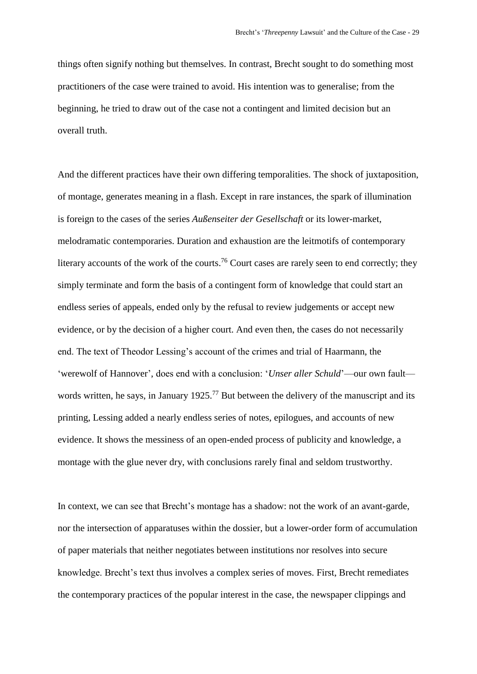things often signify nothing but themselves. In contrast, Brecht sought to do something most practitioners of the case were trained to avoid. His intention was to generalise; from the beginning, he tried to draw out of the case not a contingent and limited decision but an overall truth.

And the different practices have their own differing temporalities. The shock of juxtaposition, of montage, generates meaning in a flash. Except in rare instances, the spark of illumination is foreign to the cases of the series *Außenseiter der Gesellschaft* or its lower-market, melodramatic contemporaries. Duration and exhaustion are the leitmotifs of contemporary literary accounts of the work of the courts.<sup>76</sup> Court cases are rarely seen to end correctly; they simply terminate and form the basis of a contingent form of knowledge that could start an endless series of appeals, ended only by the refusal to review judgements or accept new evidence, or by the decision of a higher court. And even then, the cases do not necessarily end. The text of Theodor Lessing's account of the crimes and trial of Haarmann, the 'werewolf of Hannover', does end with a conclusion: '*Unser aller Schuld*'—our own fault words written, he says, in January 1925.<sup>77</sup> But between the delivery of the manuscript and its printing, Lessing added a nearly endless series of notes, epilogues, and accounts of new evidence. It shows the messiness of an open-ended process of publicity and knowledge, a montage with the glue never dry, with conclusions rarely final and seldom trustworthy.

In context, we can see that Brecht's montage has a shadow: not the work of an avant-garde, nor the intersection of apparatuses within the dossier, but a lower-order form of accumulation of paper materials that neither negotiates between institutions nor resolves into secure knowledge. Brecht's text thus involves a complex series of moves. First, Brecht remediates the contemporary practices of the popular interest in the case, the newspaper clippings and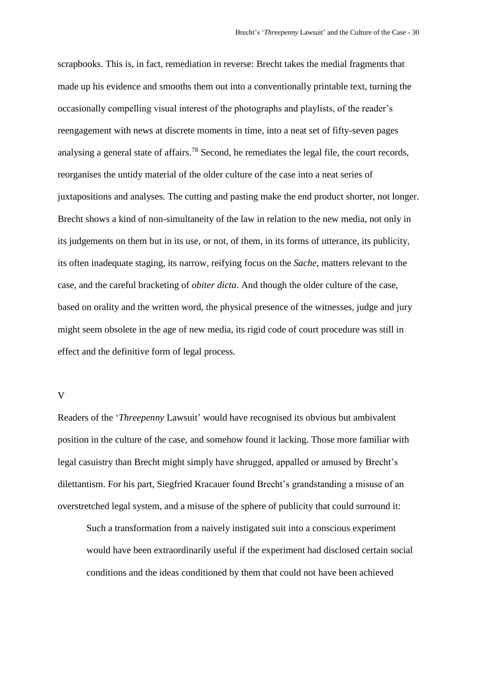scrapbooks. This is, in fact, remediation in reverse: Brecht takes the medial fragments that made up his evidence and smooths them out into a conventionally printable text, turning the occasionally compelling visual interest of the photographs and playlists, of the reader's reengagement with news at discrete moments in time, into a neat set of fifty-seven pages analysing a general state of affairs.<sup>78</sup> Second, he remediates the legal file, the court records, reorganises the untidy material of the older culture of the case into a neat series of juxtapositions and analyses. The cutting and pasting make the end product shorter, not longer. Brecht shows a kind of non-simultaneity of the law in relation to the new media, not only in its judgements on them but in its use, or not, of them, in its forms of utterance, its publicity, its often inadequate staging, its narrow, reifying focus on the *Sache*, matters relevant to the case, and the careful bracketing of *obiter dicta*. And though the older culture of the case, based on orality and the written word, the physical presence of the witnesses, judge and jury might seem obsolete in the age of new media, its rigid code of court procedure was still in effect and the definitive form of legal process.

#### V

Readers of the '*Threepenny* Lawsuit' would have recognised its obvious but ambivalent position in the culture of the case, and somehow found it lacking. Those more familiar with legal casuistry than Brecht might simply have shrugged, appalled or amused by Brecht's dilettantism. For his part, Siegfried Kracauer found Brecht's grandstanding a misuse of an overstretched legal system, and a misuse of the sphere of publicity that could surround it:

Such a transformation from a naively instigated suit into a conscious experiment would have been extraordinarily useful if the experiment had disclosed certain social conditions and the ideas conditioned by them that could not have been achieved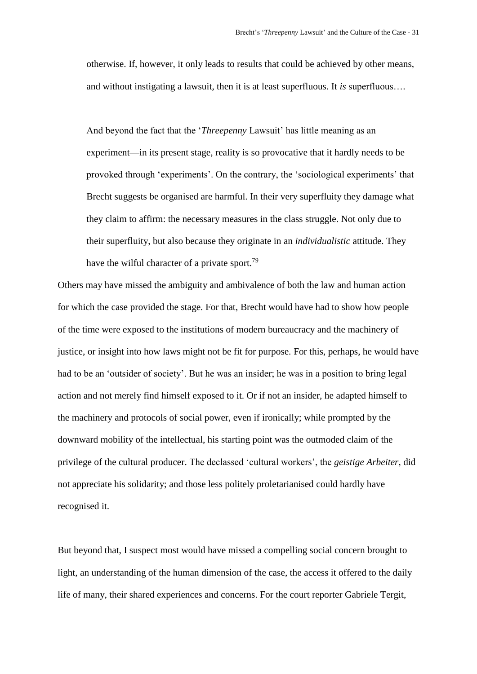otherwise. If, however, it only leads to results that could be achieved by other means, and without instigating a lawsuit, then it is at least superfluous. It *is* superfluous….

And beyond the fact that the '*Threepenny* Lawsuit' has little meaning as an experiment—in its present stage, reality is so provocative that it hardly needs to be provoked through 'experiments'. On the contrary, the 'sociological experiments' that Brecht suggests be organised are harmful. In their very superfluity they damage what they claim to affirm: the necessary measures in the class struggle. Not only due to their superfluity, but also because they originate in an *individualistic* attitude. They have the wilful character of a private sport.<sup>79</sup>

Others may have missed the ambiguity and ambivalence of both the law and human action for which the case provided the stage. For that, Brecht would have had to show how people of the time were exposed to the institutions of modern bureaucracy and the machinery of justice, or insight into how laws might not be fit for purpose. For this, perhaps, he would have had to be an 'outsider of society'. But he was an insider; he was in a position to bring legal action and not merely find himself exposed to it. Or if not an insider, he adapted himself to the machinery and protocols of social power, even if ironically; while prompted by the downward mobility of the intellectual, his starting point was the outmoded claim of the privilege of the cultural producer. The declassed 'cultural workers', the *geistige Arbeiter*, did not appreciate his solidarity; and those less politely proletarianised could hardly have recognised it.

But beyond that, I suspect most would have missed a compelling social concern brought to light, an understanding of the human dimension of the case, the access it offered to the daily life of many, their shared experiences and concerns. For the court reporter Gabriele Tergit,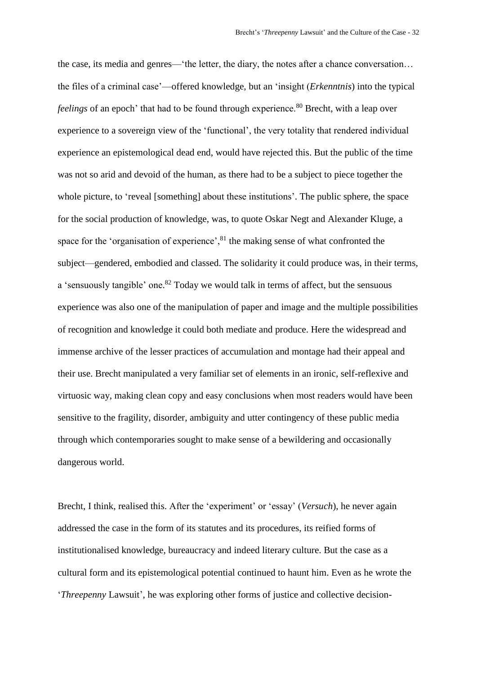the case, its media and genres—'the letter, the diary, the notes after a chance conversation… the files of a criminal case'—offered knowledge, but an 'insight (*Erkenntnis*) into the typical *feelings* of an epoch' that had to be found through experience.<sup>80</sup> Brecht, with a leap over experience to a sovereign view of the 'functional', the very totality that rendered individual experience an epistemological dead end, would have rejected this. But the public of the time was not so arid and devoid of the human, as there had to be a subject to piece together the whole picture, to 'reveal [something] about these institutions'. The public sphere, the space for the social production of knowledge, was, to quote Oskar Negt and Alexander Kluge, a space for the 'organisation of experience', $81$  the making sense of what confronted the subject—gendered, embodied and classed. The solidarity it could produce was, in their terms, a 'sensuously tangible' one.<sup>82</sup> Today we would talk in terms of affect, but the sensuous experience was also one of the manipulation of paper and image and the multiple possibilities of recognition and knowledge it could both mediate and produce. Here the widespread and immense archive of the lesser practices of accumulation and montage had their appeal and their use. Brecht manipulated a very familiar set of elements in an ironic, self-reflexive and virtuosic way, making clean copy and easy conclusions when most readers would have been sensitive to the fragility, disorder, ambiguity and utter contingency of these public media through which contemporaries sought to make sense of a bewildering and occasionally dangerous world.

Brecht, I think, realised this. After the 'experiment' or 'essay' (*Versuch*), he never again addressed the case in the form of its statutes and its procedures, its reified forms of institutionalised knowledge, bureaucracy and indeed literary culture. But the case as a cultural form and its epistemological potential continued to haunt him. Even as he wrote the '*Threepenny* Lawsuit', he was exploring other forms of justice and collective decision-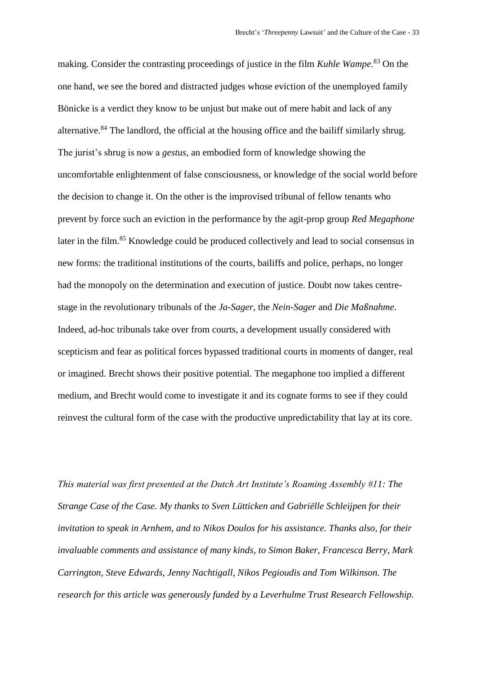making. Consider the contrasting proceedings of justice in the film *Kuhle Wampe*. <sup>83</sup> On the one hand, we see the bored and distracted judges whose eviction of the unemployed family Bönicke is a verdict they know to be unjust but make out of mere habit and lack of any alternative.<sup>84</sup> The landlord, the official at the housing office and the bailiff similarly shrug. The jurist's shrug is now a *gestus*, an embodied form of knowledge showing the uncomfortable enlightenment of false consciousness, or knowledge of the social world before the decision to change it. On the other is the improvised tribunal of fellow tenants who prevent by force such an eviction in the performance by the agit-prop group *Red Megaphone* later in the film.<sup>85</sup> Knowledge could be produced collectively and lead to social consensus in new forms: the traditional institutions of the courts, bailiffs and police, perhaps, no longer had the monopoly on the determination and execution of justice. Doubt now takes centrestage in the revolutionary tribunals of the *Ja-Sager*, the *Nein-Sager* and *Die Maßnahme*. Indeed, ad-hoc tribunals take over from courts, a development usually considered with scepticism and fear as political forces bypassed traditional courts in moments of danger, real or imagined. Brecht shows their positive potential. The megaphone too implied a different medium, and Brecht would come to investigate it and its cognate forms to see if they could reinvest the cultural form of the case with the productive unpredictability that lay at its core.

*This material was first presented at the Dutch Art Institute's Roaming Assembly #11: The Strange Case of the Case. My thanks to Sven Lütticken and Gabriëlle Schleijpen for their invitation to speak in Arnhem, and to Nikos Doulos for his assistance. Thanks also, for their invaluable comments and assistance of many kinds, to Simon Baker, Francesca Berry, Mark Carrington, Steve Edwards, Jenny Nachtigall, Nikos Pegioudis and Tom Wilkinson. The research for this article was generously funded by a Leverhulme Trust Research Fellowship.*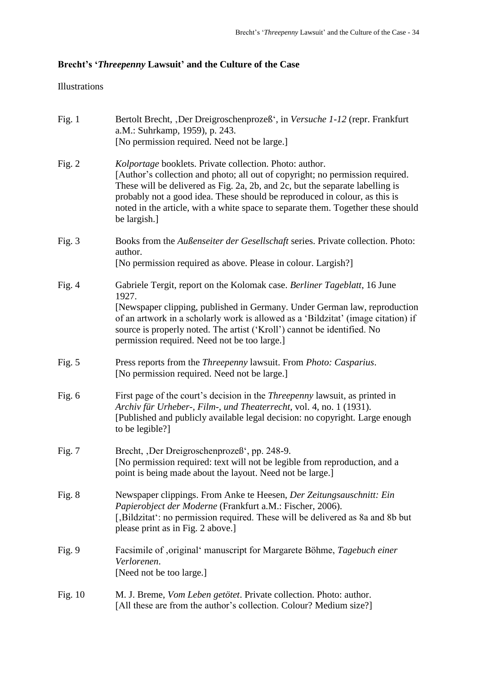# **Brecht's '***Threepenny* **Lawsuit' and the Culture of the Case**

## Illustrations

| Fig. $1$  | Bertolt Brecht, ,Der Dreigroschenprozeß', in Versuche 1-12 (repr. Frankfurt<br>a.M.: Suhrkamp, 1959), p. 243.<br>[No permission required. Need not be large.]                                                                                                                                                                                                                                               |
|-----------|-------------------------------------------------------------------------------------------------------------------------------------------------------------------------------------------------------------------------------------------------------------------------------------------------------------------------------------------------------------------------------------------------------------|
| Fig. $2$  | Kolportage booklets. Private collection. Photo: author.<br>[Author's collection and photo; all out of copyright; no permission required.<br>These will be delivered as Fig. 2a, 2b, and 2c, but the separate labelling is<br>probably not a good idea. These should be reproduced in colour, as this is<br>noted in the article, with a white space to separate them. Together these should<br>be largish.] |
| Fig. $3$  | Books from the Außenseiter der Gesellschaft series. Private collection. Photo:<br>author.<br>[No permission required as above. Please in colour. Largish?]                                                                                                                                                                                                                                                  |
| Fig. 4    | Gabriele Tergit, report on the Kolomak case. Berliner Tageblatt, 16 June<br>1927.<br>[Newspaper clipping, published in Germany. Under German law, reproduction<br>of an artwork in a scholarly work is allowed as a 'Bildzitat' (image citation) if<br>source is properly noted. The artist ('Kroll') cannot be identified. No<br>permission required. Need not be too large.]                              |
| Fig. $5$  | Press reports from the Threepenny lawsuit. From Photo: Casparius.<br>[No permission required. Need not be large.]                                                                                                                                                                                                                                                                                           |
| Fig. $6$  | First page of the court's decision in the <i>Threepenny</i> lawsuit, as printed in<br>Archiv für Urheber-, Film-, und Theaterrecht, vol. 4, no. 1 (1931).<br>[Published and publicly available legal decision: no copyright. Large enough<br>to be legible?]                                                                                                                                                |
| Fig. $7$  | Brecht, ,Der Dreigroschenprozeß', pp. 248-9.<br>[No permission required: text will not be legible from reproduction, and a<br>point is being made about the layout. Need not be large.]                                                                                                                                                                                                                     |
| Fig. $8$  | Newspaper clippings. From Anke te Heesen, Der Zeitungsauschnitt: Ein<br>Papierobject der Moderne (Frankfurt a.M.: Fischer, 2006).<br>[, Bildzitat': no permission required. These will be delivered as 8a and 8b but<br>please print as in Fig. 2 above.]                                                                                                                                                   |
| Fig. 9    | Facsimile of , original' manuscript for Margarete Böhme, Tagebuch einer<br>Verlorenen.<br>[Need not be too large.]                                                                                                                                                                                                                                                                                          |
| Fig. $10$ | M. J. Breme, <i>Vom Leben getötet</i> . Private collection. Photo: author.<br>[All these are from the author's collection. Colour? Medium size?]                                                                                                                                                                                                                                                            |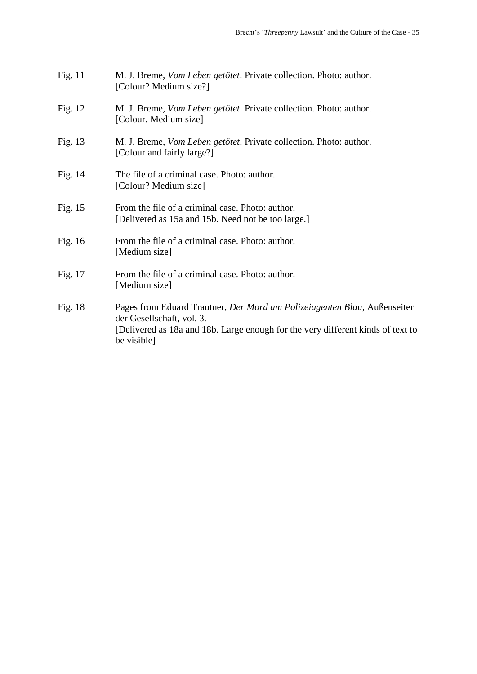| Fig. $11$ | M. J. Breme, <i>Vom Leben getötet</i> . Private collection. Photo: author.<br>[Colour? Medium size?]                                                                                                    |
|-----------|---------------------------------------------------------------------------------------------------------------------------------------------------------------------------------------------------------|
| Fig. $12$ | M. J. Breme, <i>Vom Leben getötet</i> . Private collection. Photo: author.<br>[Colour. Medium size]                                                                                                     |
| Fig. 13   | M. J. Breme, <i>Vom Leben getötet</i> . Private collection. Photo: author.<br>[Colour and fairly large?]                                                                                                |
| Fig. 14   | The file of a criminal case. Photo: author.<br>[Colour? Medium size]                                                                                                                                    |
| Fig. 15   | From the file of a criminal case. Photo: author.<br>[Delivered as 15a and 15b. Need not be too large.]                                                                                                  |
| Fig. 16   | From the file of a criminal case. Photo: author.<br>[Medium size]                                                                                                                                       |
| Fig. 17   | From the file of a criminal case. Photo: author.<br>[Medium size]                                                                                                                                       |
| Fig. 18   | Pages from Eduard Trautner, Der Mord am Polizeiagenten Blau, Außenseiter<br>der Gesellschaft, vol. 3.<br>[Delivered as 18a and 18b. Large enough for the very different kinds of text to<br>be visible] |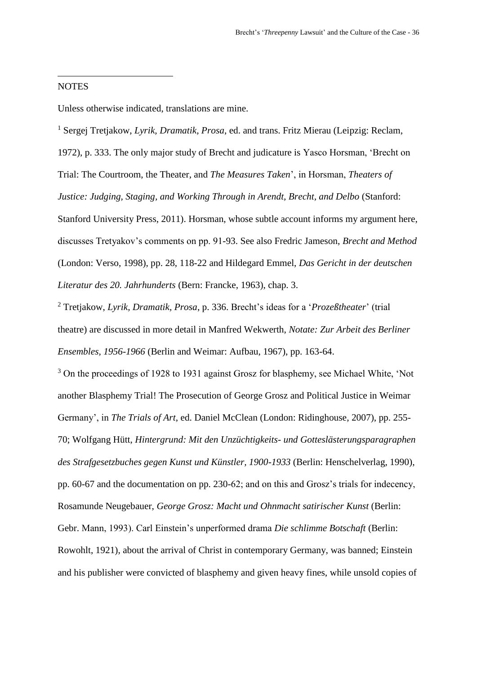## **NOTES**

1

Unless otherwise indicated, translations are mine.

<sup>1</sup> Sergei Tretjakow, *Lyrik, Dramatik, Prosa*, ed. and trans. Fritz Mierau (Leipzig: Reclam, 1972), p. 333. The only major study of Brecht and judicature is Yasco Horsman, 'Brecht on Trial: The Courtroom, the Theater, and *The Measures Taken*', in Horsman, *Theaters of Justice: Judging, Staging, and Working Through in Arendt, Brecht, and Delbo* (Stanford: Stanford University Press, 2011). Horsman, whose subtle account informs my argument here, discusses Tretyakov's comments on pp. 91-93. See also Fredric Jameson, *Brecht and Method* (London: Verso, 1998), pp. 28, 118-22 and Hildegard Emmel, *Das Gericht in der deutschen Literatur des 20. Jahrhunderts* (Bern: Francke, 1963), chap. 3.

<sup>2</sup> Tretjakow, *Lyrik, Dramatik, Prosa*, p. 336. Brecht's ideas for a '*Prozeßtheater*' (trial theatre) are discussed in more detail in Manfred Wekwerth, *Notate: Zur Arbeit des Berliner Ensembles, 1956-1966* (Berlin and Weimar: Aufbau, 1967), pp. 163-64.

<sup>3</sup> On the proceedings of 1928 to 1931 against Grosz for blasphemy, see Michael White, 'Not another Blasphemy Trial! The Prosecution of George Grosz and Political Justice in Weimar Germany', in *The Trials of Art*, ed. Daniel McClean (London: Ridinghouse, 2007), pp. 255- 70; Wolfgang Hütt, *Hintergrund: Mit den Unzüchtigkeits- und Gotteslästerungsparagraphen des Strafgesetzbuches gegen Kunst und Künstler, 1900-1933* (Berlin: Henschelverlag, 1990), pp. 60-67 and the documentation on pp. 230-62; and on this and Grosz's trials for indecency, Rosamunde Neugebauer, *George Grosz: Macht und Ohnmacht satirischer Kunst* (Berlin: Gebr. Mann, 1993). Carl Einstein's unperformed drama *Die schlimme Botschaft* (Berlin: Rowohlt, 1921), about the arrival of Christ in contemporary Germany, was banned; Einstein and his publisher were convicted of blasphemy and given heavy fines, while unsold copies of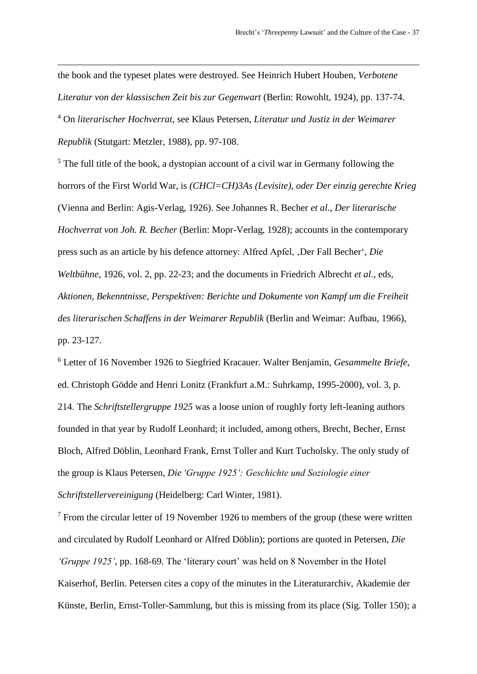the book and the typeset plates were destroyed. See Heinrich Hubert Houben, *Verbotene Literatur von der klassischen Zeit bis zur Gegenwart* (Berlin: Rowohlt, 1924), pp. 137-74. <sup>4</sup> On *literarischer Hochverrat*, see Klaus Petersen, *Literatur und Justiz in der Weimarer Republik* (Stutgart: Metzler, 1988), pp. 97-108.

1

<sup>5</sup> The full title of the book, a dystopian account of a civil war in Germany following the horrors of the First World War, is *(CHCl=CH)3As (Levisite), oder Der einzig gerechte Krieg* (Vienna and Berlin: Agis-Verlag, 1926). See Johannes R. Becher *et al*., *Der literarische Hochverrat von Joh. R. Becher* (Berlin: Mopr-Verlag, 1928); accounts in the contemporary press such as an article by his defence attorney: Alfred Apfel, 'Der Fall Becher', *Die Weltbühne*, 1926, vol. 2, pp. 22-23; and the documents in Friedrich Albrecht *et al.*, eds, *Aktionen, Bekenntnisse, Perspektiven: Berichte und Dokumente von Kampf um die Freiheit des literarischen Schaffens in der Weimarer Republik* (Berlin and Weimar: Aufbau, 1966), pp. 23-127.

<sup>6</sup> Letter of 16 November 1926 to Siegfried Kracauer. Walter Benjamin, *Gesammelte Briefe*, ed. Christoph Gödde and Henri Lonitz (Frankfurt a.M.: Suhrkamp, 1995-2000), vol. 3, p. 214. The *Schriftstellergruppe 1925* was a loose union of roughly forty left-leaning authors founded in that year by Rudolf Leonhard; it included, among others, Brecht, Becher, Ernst Bloch, Alfred Döblin, Leonhard Frank, Ernst Toller and Kurt Tucholsky. The only study of the group is Klaus Petersen, *Die 'Gruppe 1925': Geschichte und Soziologie einer Schriftstellervereinigung* (Heidelberg: Carl Winter, 1981).

 $<sup>7</sup>$  From the circular letter of 19 November 1926 to members of the group (these were written</sup> and circulated by Rudolf Leonhard or Alfred Döblin); portions are quoted in Petersen, *Die 'Gruppe 1925'*, pp. 168-69. The 'literary court' was held on 8 November in the Hotel Kaiserhof, Berlin. Petersen cites a copy of the minutes in the Literaturarchiv, Akademie der Künste, Berlin, Ernst-Toller-Sammlung, but this is missing from its place (Sig. Toller 150); a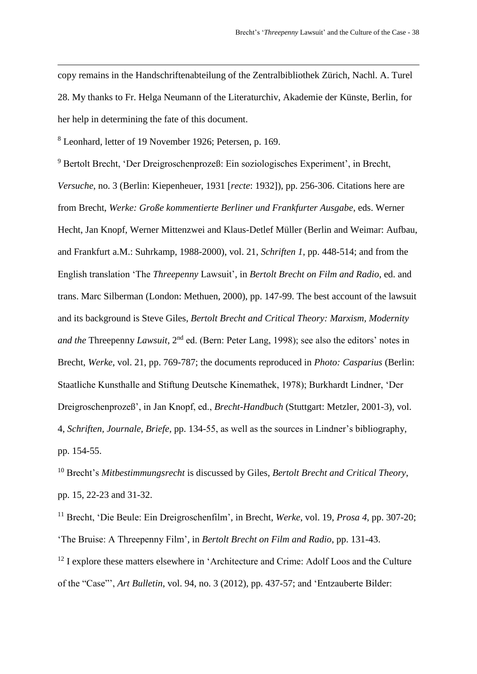copy remains in the Handschriftenabteilung of the Zentralbibliothek Zürich, Nachl. A. Turel 28. My thanks to Fr. Helga Neumann of the Literaturchiv, Akademie der Künste, Berlin, for her help in determining the fate of this document.

<sup>8</sup> Leonhard, letter of 19 November 1926; Petersen, p. 169.

1

<sup>9</sup> Bertolt Brecht, 'Der Dreigroschenprozeß: Ein soziologisches Experiment', in Brecht, *Versuche*, no. 3 (Berlin: Kiepenheuer, 1931 [*recte*: 1932]), pp. 256-306. Citations here are from Brecht, *Werke: Große kommentierte Berliner und Frankfurter Ausgabe*, eds. Werner Hecht, Jan Knopf, Werner Mittenzwei and Klaus-Detlef Müller (Berlin and Weimar: Aufbau, and Frankfurt a.M.: Suhrkamp, 1988-2000), vol. 21, *Schriften 1*, pp. 448-514; and from the English translation 'The *Threepenny* Lawsuit', in *Bertolt Brecht on Film and Radio*, ed. and trans. Marc Silberman (London: Methuen, 2000), pp. 147-99. The best account of the lawsuit and its background is Steve Giles, *Bertolt Brecht and Critical Theory: Marxism, Modernity and the* Threepenny *Lawsuit*, 2<sup>nd</sup> ed. (Bern: Peter Lang, 1998); see also the editors' notes in Brecht, *Werke*, vol. 21, pp. 769-787; the documents reproduced in *Photo: Casparius* (Berlin: Staatliche Kunsthalle and Stiftung Deutsche Kinemathek, 1978); Burkhardt Lindner, 'Der Dreigroschenprozeß', in Jan Knopf, ed., *Brecht-Handbuch* (Stuttgart: Metzler, 2001-3), vol. 4, *Schriften, Journale, Briefe*, pp. 134-55, as well as the sources in Lindner's bibliography, pp. 154-55.

<sup>10</sup> Brecht's *Mitbestimmungsrecht* is discussed by Giles, *Bertolt Brecht and Critical Theory*, pp. 15, 22-23 and 31-32.

<sup>11</sup> Brecht, 'Die Beule: Ein Dreigroschenfilm', in Brecht, *Werke*, vol. 19, *Prosa 4*, pp. 307-20; 'The Bruise: A Threepenny Film', in *Bertolt Brecht on Film and Radio*, pp. 131-43.

<sup>12</sup> I explore these matters elsewhere in 'Architecture and Crime: Adolf Loos and the Culture of the "Case"', *Art Bulletin*, vol. 94, no. 3 (2012), pp. 437-57; and 'Entzauberte Bilder: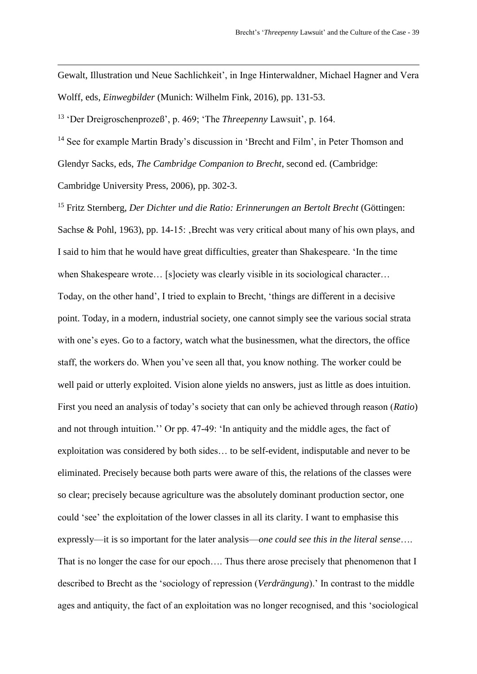Gewalt, Illustration und Neue Sachlichkeit', in Inge Hinterwaldner, Michael Hagner and Vera Wolff, eds, *Einwegbilder* (Munich: Wilhelm Fink, 2016), pp. 131-53.

13 'Der Dreigroschenprozeß', p. 469; 'The *Threepenny* Lawsuit', p. 164.

1

<sup>14</sup> See for example Martin Brady's discussion in 'Brecht and Film', in Peter Thomson and Glendyr Sacks, eds, *The Cambridge Companion to Brecht*, second ed. (Cambridge: Cambridge University Press, 2006), pp. 302-3.

<sup>15</sup> Fritz Sternberg, *Der Dichter und die Ratio: Erinnerungen an Bertolt Brecht* (Göttingen: Sachse & Pohl, 1963), pp. 14-15: Brecht was very critical about many of his own plays, and I said to him that he would have great difficulties, greater than Shakespeare. 'In the time when Shakespeare wrote… [s]ociety was clearly visible in its sociological character... Today, on the other hand', I tried to explain to Brecht, 'things are different in a decisive point. Today, in a modern, industrial society, one cannot simply see the various social strata with one's eyes. Go to a factory, watch what the businessmen, what the directors, the office staff, the workers do. When you've seen all that, you know nothing. The worker could be well paid or utterly exploited. Vision alone yields no answers, just as little as does intuition. First you need an analysis of today's society that can only be achieved through reason (*Ratio*) and not through intuition.'' Or pp. 47-49: 'In antiquity and the middle ages, the fact of exploitation was considered by both sides… to be self-evident, indisputable and never to be eliminated. Precisely because both parts were aware of this, the relations of the classes were so clear; precisely because agriculture was the absolutely dominant production sector, one could 'see' the exploitation of the lower classes in all its clarity. I want to emphasise this expressly—it is so important for the later analysis—*one could see this in the literal sense*…. That is no longer the case for our epoch.... Thus there arose precisely that phenomenon that I described to Brecht as the 'sociology of repression (*Verdrängung*).' In contrast to the middle ages and antiquity, the fact of an exploitation was no longer recognised, and this 'sociological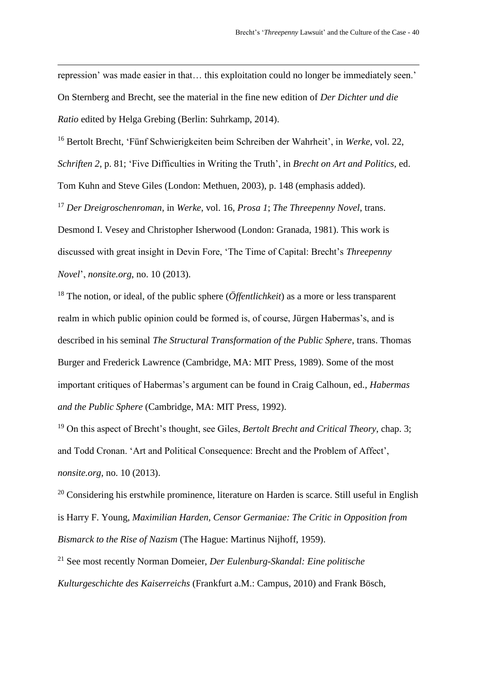repression' was made easier in that… this exploitation could no longer be immediately seen.' On Sternberg and Brecht, see the material in the fine new edition of *Der Dichter und die Ratio* edited by Helga Grebing (Berlin: Suhrkamp, 2014).

1

<sup>16</sup> Bertolt Brecht, 'Fünf Schwierigkeiten beim Schreiben der Wahrheit', in *Werke*, vol. 22, *Schriften 2*, p. 81; 'Five Difficulties in Writing the Truth', in *Brecht on Art and Politics*, ed. Tom Kuhn and Steve Giles (London: Methuen, 2003), p. 148 (emphasis added).

<sup>17</sup> *Der Dreigroschenroman*, in *Werke*, vol. 16, *Prosa 1*; *The Threepenny Novel*, trans. Desmond I. Vesey and Christopher Isherwood (London: Granada, 1981). This work is discussed with great insight in Devin Fore, 'The Time of Capital: Brecht's *Threepenny Novel*', *nonsite.org*, no. 10 (2013).

<sup>18</sup> The notion, or ideal, of the public sphere (*Öffentlichkeit*) as a more or less transparent realm in which public opinion could be formed is, of course, Jürgen Habermas's, and is described in his seminal *The Structural Transformation of the Public Sphere*, trans. Thomas Burger and Frederick Lawrence (Cambridge, MA: MIT Press, 1989). Some of the most important critiques of Habermas's argument can be found in Craig Calhoun, ed., *Habermas and the Public Sphere* (Cambridge, MA: MIT Press, 1992).

<sup>19</sup> On this aspect of Brecht's thought, see Giles, *Bertolt Brecht and Critical Theory*, chap. 3; and Todd Cronan. 'Art and Political Consequence: Brecht and the Problem of Affect', *nonsite.org*, no. 10 (2013).

 $20$  Considering his erstwhile prominence, literature on Harden is scarce. Still useful in English is Harry F. Young, *Maximilian Harden, Censor Germaniae: The Critic in Opposition from Bismarck to the Rise of Nazism* (The Hague: Martinus Nijhoff, 1959).

<sup>21</sup> See most recently Norman Domeier, *Der Eulenburg-Skandal: Eine politische Kulturgeschichte des Kaiserreichs* (Frankfurt a.M.: Campus, 2010) and Frank Bösch,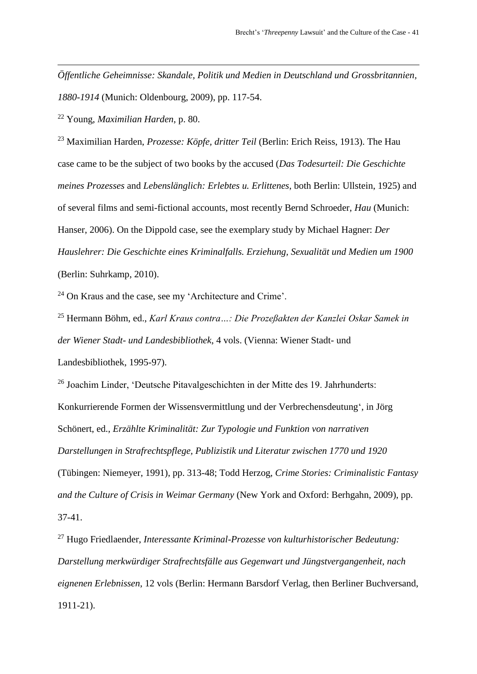*Öffentliche Geheimnisse: Skandale, Politik und Medien in Deutschland und Grossbritannien, 1880-1914* (Munich: Oldenbourg, 2009), pp. 117-54.

<sup>22</sup> Young, *Maximilian Harden*, p. 80.

1

<sup>23</sup> Maximilian Harden, *Prozesse: Köpfe, dritter Teil* (Berlin: Erich Reiss, 1913). The Hau case came to be the subject of two books by the accused (*Das Todesurteil: Die Geschichte meines Prozesses* and *Lebenslänglich: Erlebtes u. Erlittenes*, both Berlin: Ullstein, 1925) and of several films and semi-fictional accounts, most recently Bernd Schroeder, *Hau* (Munich: Hanser, 2006). On the Dippold case, see the exemplary study by Michael Hagner: *Der Hauslehrer: Die Geschichte eines Kriminalfalls. Erziehung, Sexualität und Medien um 1900* (Berlin: Suhrkamp, 2010).

<sup>24</sup> On Kraus and the case, see my 'Architecture and Crime'.

<sup>25</sup> Hermann Böhm, ed., *Karl Kraus contra…: Die Prozeßakten der Kanzlei Oskar Samek in der Wiener Stadt- und Landesbibliothek*, 4 vols. (Vienna: Wiener Stadt- und Landesbibliothek, 1995-97).

<sup>26</sup> Joachim Linder, 'Deutsche Pitavalgeschichten in der Mitte des 19. Jahrhunderts: Konkurrierende Formen der Wissensvermittlung und der Verbrechensdeutung', in Jörg Schönert, ed., *Erzählte Kriminalität: Zur Typologie und Funktion von narrativen Darstellungen in Strafrechtspflege, Publizistik und Literatur zwischen 1770 und 1920* (Tübingen: Niemeyer, 1991), pp. 313-48; Todd Herzog, *Crime Stories: Criminalistic Fantasy and the Culture of Crisis in Weimar Germany* (New York and Oxford: Berhgahn, 2009), pp. 37-41.

<sup>27</sup> Hugo Friedlaender, *Interessante Kriminal-Prozesse von kulturhistorischer Bedeutung: Darstellung merkwürdiger Strafrechtsfälle aus Gegenwart und Jüngstvergangenheit, nach eignenen Erlebnissen*, 12 vols (Berlin: Hermann Barsdorf Verlag, then Berliner Buchversand, 1911-21).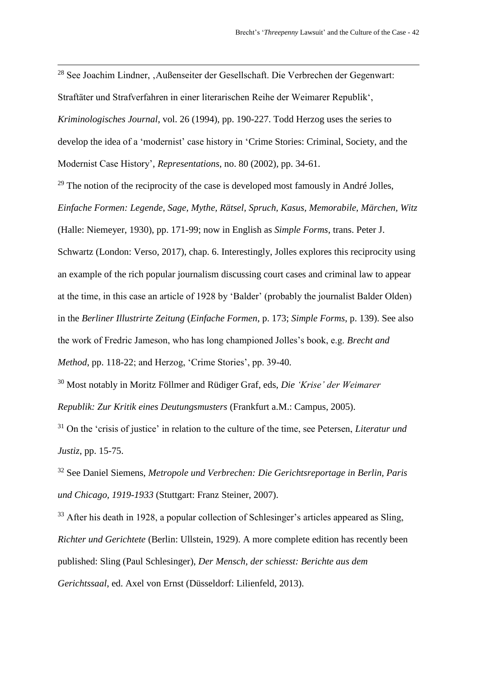<sup>28</sup> See Joachim Lindner, , Außenseiter der Gesellschaft. Die Verbrechen der Gegenwart: Straftäter und Strafverfahren in einer literarischen Reihe der Weimarer Republik', *Kriminologisches Journal*, vol. 26 (1994), pp. 190-227. Todd Herzog uses the series to develop the idea of a 'modernist' case history in 'Crime Stories: Criminal, Society, and the Modernist Case History', *Representations*, no. 80 (2002), pp. 34-61.

1

 $29$  The notion of the reciprocity of the case is developed most famously in André Jolles, *Einfache Formen: Legende, Sage, Mythe, Rätsel, Spruch, Kasus, Memorabile, Märchen, Witz* (Halle: Niemeyer, 1930), pp. 171-99; now in English as *Simple Forms*, trans. Peter J. Schwartz (London: Verso, 2017), chap. 6. Interestingly, Jolles explores this reciprocity using an example of the rich popular journalism discussing court cases and criminal law to appear at the time, in this case an article of 1928 by 'Balder' (probably the journalist Balder Olden) in the *Berliner Illustrirte Zeitung* (*Einfache Formen*, p. 173; *Simple Forms*, p. 139). See also the work of Fredric Jameson, who has long championed Jolles's book, e.g. *Brecht and Method*, pp. 118-22; and Herzog, 'Crime Stories', pp. 39-40.

<sup>30</sup> Most notably in Moritz Föllmer and Rüdiger Graf, eds, *Die 'Krise' der Weimarer Republik: Zur Kritik eines Deutungsmusters* (Frankfurt a.M.: Campus, 2005).

<sup>31</sup> On the 'crisis of justice' in relation to the culture of the time, see Petersen, *Literatur und Justiz*, pp. 15-75.

<sup>32</sup> See Daniel Siemens, *Metropole und Verbrechen: Die Gerichtsreportage in Berlin, Paris und Chicago, 1919-1933* (Stuttgart: Franz Steiner, 2007).

 $33$  After his death in 1928, a popular collection of Schlesinger's articles appeared as Sling, *Richter und Gerichtete* (Berlin: Ullstein, 1929). A more complete edition has recently been published: Sling (Paul Schlesinger), *Der Mensch, der schiesst: Berichte aus dem Gerichtssaal*, ed. Axel von Ernst (Düsseldorf: Lilienfeld, 2013).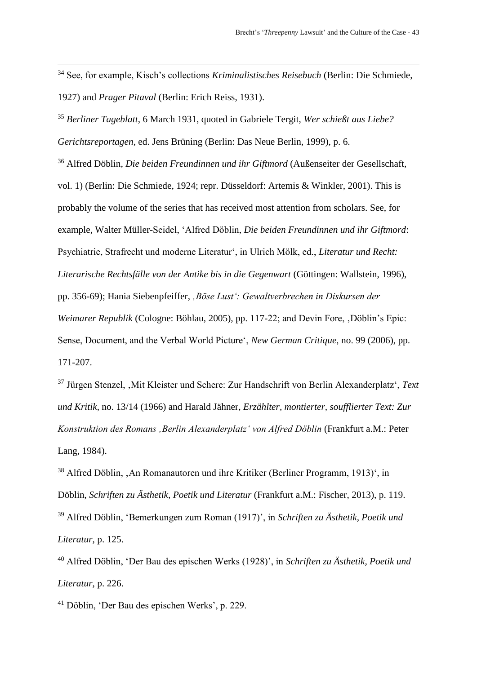<sup>34</sup> See, for example, Kisch's collections *Kriminalistisches Reisebuch* (Berlin: Die Schmiede, 1927) and *Prager Pitaval* (Berlin: Erich Reiss, 1931).

<sup>35</sup> *Berliner Tageblatt*, 6 March 1931, quoted in Gabriele Tergit, *Wer schießt aus Liebe? Gerichtsreportagen*, ed. Jens Brüning (Berlin: Das Neue Berlin, 1999), p. 6.

1

<sup>36</sup> Alfred Döblin, *Die beiden Freundinnen und ihr Giftmord* (Außenseiter der Gesellschaft, vol. 1) (Berlin: Die Schmiede, 1924; repr. Düsseldorf: Artemis & Winkler, 2001). This is probably the volume of the series that has received most attention from scholars. See, for example, Walter Müller-Seidel, 'Alfred Döblin, *Die beiden Freundinnen und ihr Giftmord*: Psychiatrie, Strafrecht und moderne Literatur', in Ulrich Mölk, ed., *Literatur und Recht: Literarische Rechtsfälle von der Antike bis in die Gegenwart* (Göttingen: Wallstein, 1996), pp. 356-69); Hania Siebenpfeiffer, *'Böse Lust': Gewaltverbrechen in Diskursen der Weimarer Republik* (Cologne: Böhlau, 2005), pp. 117-22; and Devin Fore, , Döblin's Epic: Sense, Document, and the Verbal World Picture', *New German Critique*, no. 99 (2006), pp. 171-207.

<sup>37</sup> Jürgen Stenzel, 'Mit Kleister und Schere: Zur Handschrift von Berlin Alexanderplatz', *Text und Kritik*, no. 13/14 (1966) and Harald Jähner, *Erzählter, montierter, soufflierter Text: Zur Konstruktion des Romans 'Berlin Alexanderplatz' von Alfred Döblin* (Frankfurt a.M.: Peter Lang, 1984).

<sup>38</sup> Alfred Döblin, 'An Romanautoren und ihre Kritiker (Berliner Programm, 1913)', in Döblin, *Schriften zu Ästhetik, Poetik und Literatur* (Frankfurt a.M.: Fischer, 2013), p. 119. <sup>39</sup> Alfred Döblin, 'Bemerkungen zum Roman (1917)', in *Schriften zu Ästhetik, Poetik und Literatur*, p. 125.

<sup>40</sup> Alfred Döblin, 'Der Bau des epischen Werks (1928)', in *Schriften zu Ästhetik, Poetik und Literatur*, p. 226.

<sup>41</sup> Döblin, 'Der Bau des epischen Werks', p. 229.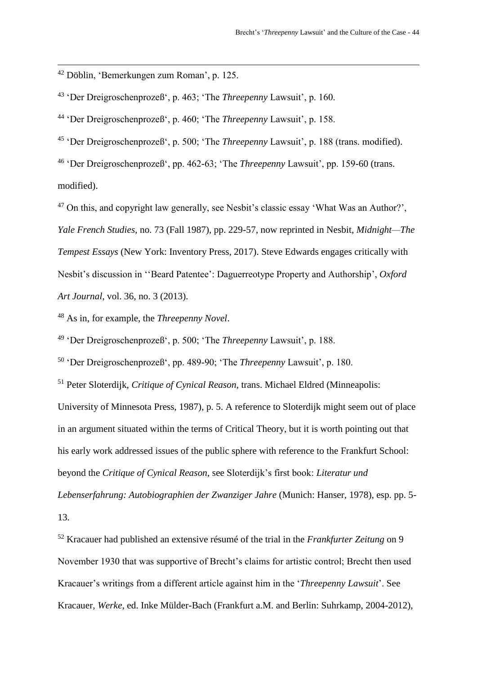<sup>42</sup> Döblin, 'Bemerkungen zum Roman', p. 125.

1

<sup>43</sup> 'Der Dreigroschenprozeß', p. 463; 'The *Threepenny* Lawsuit', p. 160.

<sup>44</sup> 'Der Dreigroschenprozeß', p. 460; 'The *Threepenny* Lawsuit', p. 158.

<sup>45</sup> 'Der Dreigroschenprozeß', p. 500; 'The *Threepenny* Lawsuit', p. 188 (trans. modified). <sup>46</sup> 'Der Dreigroschenprozeß', pp. 462-63; 'The *Threepenny* Lawsuit', pp. 159-60 (trans. modified).

<sup>47</sup> On this, and copyright law generally, see Nesbit's classic essay 'What Was an Author?'. *Yale French Studies*, no. 73 (Fall 1987), pp. 229-57, now reprinted in Nesbit, *Midnight—The Tempest Essays* (New York: Inventory Press, 2017). Steve Edwards engages critically with Nesbit's discussion in ''Beard Patentee': Daguerreotype Property and Authorship', *Oxford Art Journal*, vol. 36, no. 3 (2013).

<sup>48</sup> As in, for example, the *Threepenny Novel*.

<sup>49</sup> 'Der Dreigroschenprozeß', p. 500; 'The *Threepenny* Lawsuit', p. 188.

<sup>50</sup> 'Der Dreigroschenprozeß', pp. 489-90; 'The *Threepenny* Lawsuit', p. 180.

<sup>51</sup> Peter Sloterdijk, *Critique of Cynical Reason*, trans. Michael Eldred (Minneapolis: University of Minnesota Press, 1987), p. 5. A reference to Sloterdijk might seem out of place in an argument situated within the terms of Critical Theory, but it is worth pointing out that his early work addressed issues of the public sphere with reference to the Frankfurt School: beyond the *Critique of Cynical Reason*, see Sloterdijk's first book: *Literatur und Lebenserfahrung: Autobiographien der Zwanziger Jahre* (Munich: Hanser, 1978), esp. pp. 5-

13.

<sup>52</sup> Kracauer had published an extensive résumé of the trial in the *Frankfurter Zeitung* on 9 November 1930 that was supportive of Brecht's claims for artistic control; Brecht then used Kracauer's writings from a different article against him in the '*Threepenny Lawsuit*'. See Kracauer, *Werke*, ed. Inke Mülder-Bach (Frankfurt a.M. and Berlin: Suhrkamp, 2004-2012),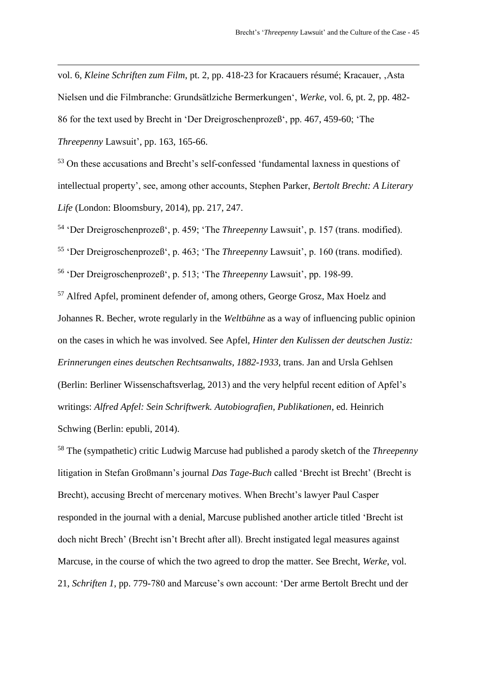vol. 6, *Kleine Schriften zum Film*, pt. 2, pp. 418-23 for Kracauers résumé; Kracauer, ,Asta Nielsen und die Filmbranche: Grundsätlziche Bermerkungen', *Werke*, vol. 6, pt. 2, pp. 482- 86 for the text used by Brecht in 'Der Dreigroschenprozeß', pp. 467, 459-60; 'The *Threepenny* Lawsuit', pp. 163, 165-66.

1

<sup>53</sup> On these accusations and Brecht's self-confessed 'fundamental laxness in questions of intellectual property', see, among other accounts, Stephen Parker, *Bertolt Brecht: A Literary Life* (London: Bloomsbury, 2014), pp. 217, 247.

<sup>54</sup> 'Der Dreigroschenprozeß', p. 459; 'The *Threepenny* Lawsuit', p. 157 (trans. modified).

<sup>55</sup> 'Der Dreigroschenprozeß', p. 463; 'The *Threepenny* Lawsuit', p. 160 (trans. modified).

<sup>56</sup> 'Der Dreigroschenprozeß', p. 513; 'The *Threepenny* Lawsuit', pp. 198-99.

<sup>57</sup> Alfred Apfel, prominent defender of, among others, George Grosz, Max Hoelz and Johannes R. Becher, wrote regularly in the *Weltbühne* as a way of influencing public opinion on the cases in which he was involved. See Apfel, *Hinter den Kulissen der deutschen Justiz: Erinnerungen eines deutschen Rechtsanwalts, 1882-1933*, trans. Jan and Ursla Gehlsen (Berlin: Berliner Wissenschaftsverlag, 2013) and the very helpful recent edition of Apfel's writings: *Alfred Apfel: Sein Schriftwerk. Autobiografien, Publikationen*, ed. Heinrich Schwing (Berlin: epubli, 2014).

<sup>58</sup> The (sympathetic) critic Ludwig Marcuse had published a parody sketch of the *Threepenny* litigation in Stefan Großmann's journal *Das Tage-Buch* called 'Brecht ist Brecht' (Brecht is Brecht), accusing Brecht of mercenary motives. When Brecht's lawyer Paul Casper responded in the journal with a denial, Marcuse published another article titled 'Brecht ist doch nicht Brech' (Brecht isn't Brecht after all). Brecht instigated legal measures against Marcuse, in the course of which the two agreed to drop the matter. See Brecht, *Werke*, vol. 21, *Schriften 1*, pp. 779-780 and Marcuse's own account: 'Der arme Bertolt Brecht und der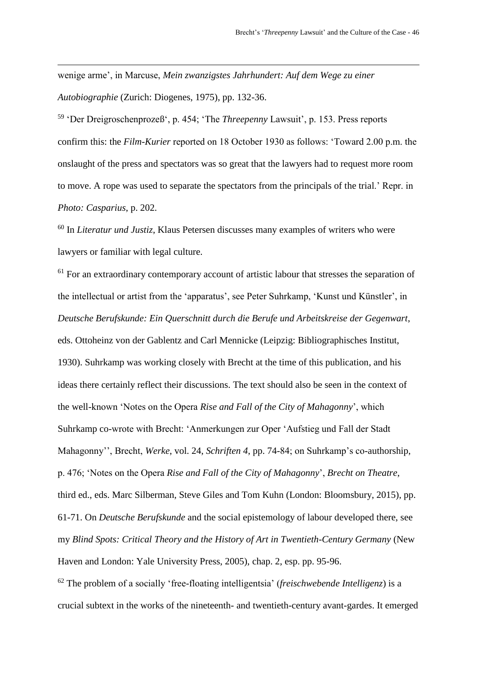wenige arme', in Marcuse, *Mein zwanzigstes Jahrhundert: Auf dem Wege zu einer Autobiographie* (Zurich: Diogenes, 1975), pp. 132-36.

1

<sup>59</sup> 'Der Dreigroschenprozeß', p. 454; 'The *Threepenny* Lawsuit', p. 153. Press reports confirm this: the *Film-Kurier* reported on 18 October 1930 as follows: 'Toward 2.00 p.m. the onslaught of the press and spectators was so great that the lawyers had to request more room to move. A rope was used to separate the spectators from the principals of the trial.' Repr. in *Photo: Casparius*, p. 202.

<sup>60</sup> In *Literatur und Justiz*, Klaus Petersen discusses many examples of writers who were lawyers or familiar with legal culture.

<sup>61</sup> For an extraordinary contemporary account of artistic labour that stresses the separation of the intellectual or artist from the 'apparatus', see Peter Suhrkamp, 'Kunst und Künstler', in *Deutsche Berufskunde: Ein Querschnitt durch die Berufe und Arbeitskreise der Gegenwart*, eds. Ottoheinz von der Gablentz and Carl Mennicke (Leipzig: Bibliographisches Institut, 1930). Suhrkamp was working closely with Brecht at the time of this publication, and his ideas there certainly reflect their discussions. The text should also be seen in the context of the well-known 'Notes on the Opera *Rise and Fall of the City of Mahagonny*', which Suhrkamp co-wrote with Brecht: 'Anmerkungen zur Oper 'Aufstieg und Fall der Stadt Mahagonny'', Brecht, *Werke*, vol. 24, *Schriften 4*, pp. 74-84; on Suhrkamp's co-authorship, p. 476; 'Notes on the Opera *Rise and Fall of the City of Mahagonny*', *Brecht on Theatre*, third ed., eds. Marc Silberman, Steve Giles and Tom Kuhn (London: Bloomsbury, 2015), pp. 61-71. On *Deutsche Berufskunde* and the social epistemology of labour developed there, see my *Blind Spots: Critical Theory and the History of Art in Twentieth-Century Germany* (New Haven and London: Yale University Press, 2005), chap. 2, esp. pp. 95-96.

<sup>62</sup> The problem of a socially 'free-floating intelligentsia' (*freischwebende Intelligenz*) is a crucial subtext in the works of the nineteenth- and twentieth-century avant-gardes. It emerged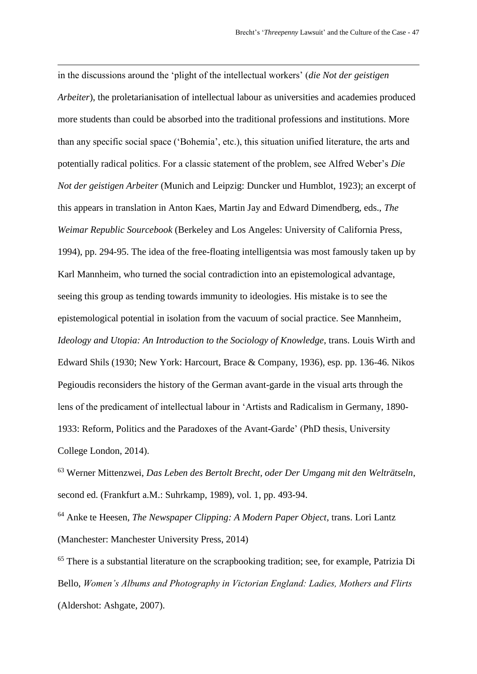in the discussions around the 'plight of the intellectual workers' (*die Not der geistigen Arbeiter*), the proletarianisation of intellectual labour as universities and academies produced more students than could be absorbed into the traditional professions and institutions. More than any specific social space ('Bohemia', etc.), this situation unified literature, the arts and potentially radical politics. For a classic statement of the problem, see Alfred Weber's *Die Not der geistigen Arbeiter* (Munich and Leipzig: Duncker und Humblot, 1923); an excerpt of this appears in translation in Anton Kaes, Martin Jay and Edward Dimendberg, eds., *The Weimar Republic Sourcebook* (Berkeley and Los Angeles: University of California Press, 1994), pp. 294-95. The idea of the free-floating intelligentsia was most famously taken up by Karl Mannheim, who turned the social contradiction into an epistemological advantage, seeing this group as tending towards immunity to ideologies. His mistake is to see the epistemological potential in isolation from the vacuum of social practice. See Mannheim, *Ideology and Utopia: An Introduction to the Sociology of Knowledge*, trans. Louis Wirth and Edward Shils (1930; New York: Harcourt, Brace & Company, 1936), esp. pp. 136-46. Nikos Pegioudis reconsiders the history of the German avant-garde in the visual arts through the lens of the predicament of intellectual labour in 'Artists and Radicalism in Germany, 1890- 1933: Reform, Politics and the Paradoxes of the Avant-Garde' (PhD thesis, University College London, 2014).

1

<sup>63</sup> Werner Mittenzwei, *Das Leben des Bertolt Brecht, oder Der Umgang mit den Welträtseln*, second ed. (Frankfurt a.M.: Suhrkamp, 1989), vol. 1, pp. 493-94.

<sup>64</sup> Anke te Heesen, *The Newspaper Clipping: A Modern Paper Object*, trans. Lori Lantz (Manchester: Manchester University Press, 2014)

<sup>65</sup> There is a substantial literature on the scrapbooking tradition; see, for example, Patrizia Di Bello, *Women's Albums and Photography in Victorian England: Ladies, Mothers and Flirts* (Aldershot: Ashgate, 2007).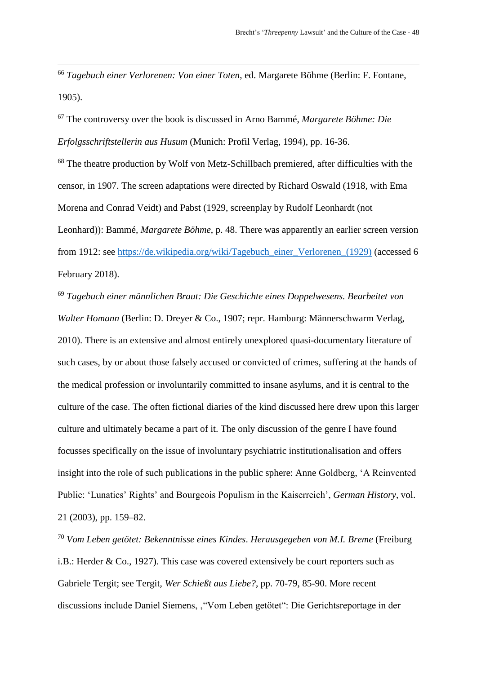<sup>66</sup> *Tagebuch einer Verlorenen: Von einer Toten*, ed. Margarete Böhme (Berlin: F. Fontane, 1905).

1

<sup>67</sup> The controversy over the book is discussed in Arno Bammé, *Margarete Böhme: Die Erfolgsschriftstellerin aus Husum* (Munich: Profil Verlag, 1994), pp. 16-36. <sup>68</sup> The theatre production by Wolf von Metz-Schillbach premiered, after difficulties with the censor, in 1907. The screen adaptations were directed by Richard Oswald (1918, with Ema Morena and Conrad Veidt) and Pabst (1929, screenplay by Rudolf Leonhardt (not Leonhard)): Bammé, *Margarete Böhme*, p. 48. There was apparently an earlier screen version from 1912: see [https://de.wikipedia.org/wiki/Tagebuch\\_einer\\_Verlorenen\\_\(1929\)](https://de.wikipedia.org/wiki/Tagebuch_einer_Verlorenen_(1929)) (accessed 6 February 2018).

<sup>69</sup> *Tagebuch einer männlichen Braut: Die Geschichte eines Doppelwesens. Bearbeitet von Walter Homann* (Berlin: D. Dreyer & Co., 1907; repr. Hamburg: Männerschwarm Verlag, 2010). There is an extensive and almost entirely unexplored quasi-documentary literature of such cases, by or about those falsely accused or convicted of crimes, suffering at the hands of the medical profession or involuntarily committed to insane asylums, and it is central to the culture of the case. The often fictional diaries of the kind discussed here drew upon this larger culture and ultimately became a part of it. The only discussion of the genre I have found focusses specifically on the issue of involuntary psychiatric institutionalisation and offers insight into the role of such publications in the public sphere: Anne Goldberg, 'A Reinvented Public: 'Lunatics' Rights' and Bourgeois Populism in the Kaiserreich', *German History*, vol. 21 (2003), pp. 159–82.

<sup>70</sup> *Vom Leben getötet: Bekenntnisse eines Kindes*. *Herausgegeben von M.I. Breme* (Freiburg i.B.: Herder & Co., 1927). This case was covered extensively be court reporters such as Gabriele Tergit; see Tergit, *Wer Schießt aus Liebe?*, pp. 70-79, 85-90. More recent discussions include Daniel Siemens, '"Vom Leben getötet": Die Gerichtsreportage in der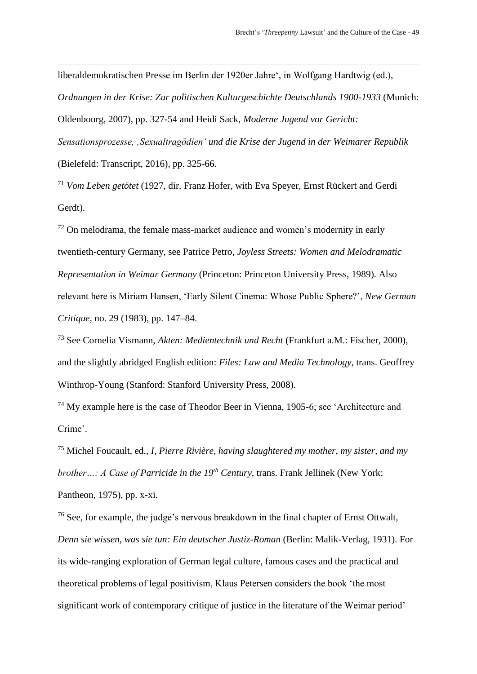liberaldemokratischen Presse im Berlin der 1920er Jahre', in Wolfgang Hardtwig (ed.),

1

*Ordnungen in der Krise: Zur politischen Kulturgeschichte Deutschlands 1900-1933* (Munich: Oldenbourg, 2007), pp. 327-54 and Heidi Sack, *Moderne Jugend vor Gericht: Sensationsprozesse, 'Sexualtragödien' und die Krise der Jugend in der Weimarer Republik* (Bielefeld: Transcript, 2016), pp. 325-66.

<sup>71</sup> *Vom Leben getötet* (1927, dir. Franz Hofer, with Eva Speyer, Ernst Rückert and Gerdi Gerdt).

 $72$  On melodrama, the female mass-market audience and women's modernity in early twentieth-century Germany, see Patrice Petro, *Joyless Streets: Women and Melodramatic Representation in Weimar Germany* (Princeton: Princeton University Press, 1989). Also relevant here is Miriam Hansen, 'Early Silent Cinema: Whose Public Sphere?', *New German Critique*, no. 29 (1983), pp. 147–84.

<sup>73</sup> See Cornelia Vismann, *Akten: Medientechnik und Recht* (Frankfurt a.M.: Fischer, 2000), and the slightly abridged English edition: *Files: Law and Media Technology*, trans. Geoffrey Winthrop-Young (Stanford: Stanford University Press, 2008).

<sup>74</sup> My example here is the case of Theodor Beer in Vienna, 1905-6; see 'Architecture and Crime'.

<sup>75</sup> Michel Foucault, ed., *I, Pierre Rivière, having slaughtered my mother, my sister, and my brother*…: *A Case of Parricide in the 19<sup>th</sup> Century*, trans. Frank Jellinek (New York: Pantheon, 1975), pp. x-xi.

<sup>76</sup> See, for example, the judge's nervous breakdown in the final chapter of Ernst Ottwalt, *Denn sie wissen, was sie tun: Ein deutscher Justiz-Roman* (Berlin: Malik-Verlag, 1931). For its wide-ranging exploration of German legal culture, famous cases and the practical and theoretical problems of legal positivism, Klaus Petersen considers the book 'the most significant work of contemporary critique of justice in the literature of the Weimar period'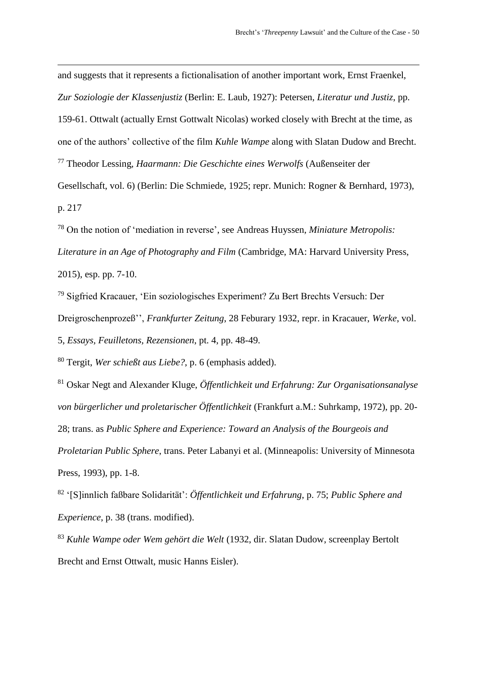and suggests that it represents a fictionalisation of another important work, Ernst Fraenkel, *Zur Soziologie der Klassenjustiz* (Berlin: E. Laub, 1927): Petersen, *Literatur und Justiz*, pp. 159-61. Ottwalt (actually Ernst Gottwalt Nicolas) worked closely with Brecht at the time, as one of the authors' collective of the film *Kuhle Wampe* along with Slatan Dudow and Brecht. <sup>77</sup> Theodor Lessing, *Haarmann: Die Geschichte eines Werwolfs* (Außenseiter der Gesellschaft, vol. 6) (Berlin: Die Schmiede, 1925; repr. Munich: Rogner & Bernhard, 1973),

p. 217

1

<sup>78</sup> On the notion of 'mediation in reverse', see Andreas Huyssen, *Miniature Metropolis:* 

*Literature in an Age of Photography and Film* (Cambridge, MA: Harvard University Press,

2015), esp. pp. 7-10.

<sup>79</sup> Sigfried Kracauer, 'Ein soziologisches Experiment? Zu Bert Brechts Versuch: Der

Dreigroschenprozeß'', *Frankfurter Zeitung*, 28 Feburary 1932, repr. in Kracauer, *Werke*, vol.

5, *Essays, Feuilletons, Rezensionen*, pt. 4, pp. 48-49.

<sup>80</sup> Tergit, *Wer schießt aus Liebe?*, p. 6 (emphasis added).

<sup>81</sup> Oskar Negt and Alexander Kluge, *Öffentlichkeit und Erfahrung: Zur Organisationsanalyse von bürgerlicher und proletarischer Öffentlichkeit* (Frankfurt a.M.: Suhrkamp, 1972), pp. 20- 28; trans. as *Public Sphere and Experience: Toward an Analysis of the Bourgeois and Proletarian Public Sphere*, trans. Peter Labanyi et al. (Minneapolis: University of Minnesota Press, 1993), pp. 1-8.

82 '[S]innlich faßbare Solidarität': *Öffentlichkeit und Erfahrung*, p. 75; *Public Sphere and Experience*, p. 38 (trans. modified).

<sup>83</sup> *Kuhle Wampe oder Wem gehört die Welt* (1932, dir. Slatan Dudow, screenplay Bertolt Brecht and Ernst Ottwalt, music Hanns Eisler).